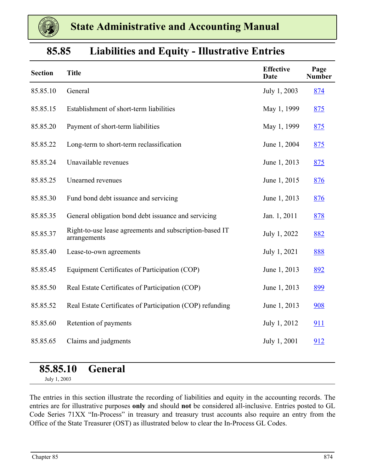

| 85.85 |  |  | <b>Liabilities and Equity - Illustrative Entries</b> |  |
|-------|--|--|------------------------------------------------------|--|
|-------|--|--|------------------------------------------------------|--|

| <b>Section</b> | <b>Title</b>                                                            | <b>Effective</b><br><b>Date</b> | Page<br><b>Number</b> |
|----------------|-------------------------------------------------------------------------|---------------------------------|-----------------------|
| 85.85.10       | General                                                                 | July 1, 2003                    | 874                   |
| 85.85.15       | Establishment of short-term liabilities                                 | May 1, 1999                     | 875                   |
| 85.85.20       | Payment of short-term liabilities                                       | May 1, 1999                     | 875                   |
| 85.85.22       | Long-term to short-term reclassification                                | June 1, 2004                    | 875                   |
| 85.85.24       | Unavailable revenues                                                    | June 1, 2013                    | 875                   |
| 85.85.25       | Unearned revenues                                                       | June 1, 2015                    | 876                   |
| 85.85.30       | Fund bond debt issuance and servicing                                   | June 1, 2013                    | 876                   |
| 85.85.35       | General obligation bond debt issuance and servicing                     | Jan. 1, 2011                    | <u>878</u>            |
| 85.85.37       | Right-to-use lease agreements and subscription-based IT<br>arrangements | July 1, 2022                    | 882                   |
| 85.85.40       | Lease-to-own agreements                                                 | July 1, 2021                    | 888                   |
| 85.85.45       | Equipment Certificates of Participation (COP)                           | June 1, 2013                    | 892                   |
| 85.85.50       | Real Estate Certificates of Participation (COP)                         | June 1, 2013                    | 899                   |
| 85.85.52       | Real Estate Certificates of Participation (COP) refunding               | June 1, 2013                    | 908                   |
| 85.85.60       | Retention of payments                                                   | July 1, 2012                    | <u>911</u>            |
| 85.85.65       | Claims and judgments                                                    | July 1, 2001                    | 912                   |

### **85.85.10 General**

July 1, 2003

The entries in this section illustrate the recording of liabilities and equity in the accounting records. The entries are for illustrative purposes **only** and should **not** be considered all-inclusive. Entries posted to GL Code Series 71XX "In-Process" in treasury and treasury trust accounts also require an entry from the Office of the State Treasurer (OST) as illustrated below to clear the In-Process GL Codes.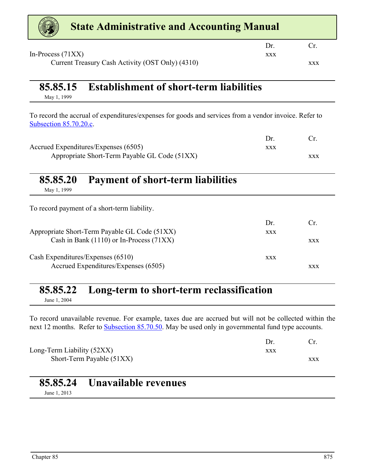<span id="page-1-0"></span>

| <b>State Administrative and Accounting Manual</b>                                                                               |            |            |
|---------------------------------------------------------------------------------------------------------------------------------|------------|------------|
|                                                                                                                                 | Dr.        | Cr.        |
| In-Process $(71XX)$<br>Current Treasury Cash Activity (OST Only) (4310)                                                         | <b>XXX</b> | <b>XXX</b> |
| <b>Establishment of short-term liabilities</b><br>85.85.15<br>May 1, 1999                                                       |            |            |
| To record the accrual of expenditures/expenses for goods and services from a vendor invoice. Refer to<br>Subsection 85.70.20.c. |            |            |
|                                                                                                                                 | Dr.        | Cr.        |
| Accrued Expenditures/Expenses (6505)<br>Appropriate Short-Term Payable GL Code (51XX)                                           | <b>XXX</b> |            |
| 85.85.20<br><b>Payment of short-term liabilities</b><br>May 1, 1999                                                             |            | <b>XXX</b> |
| To record payment of a short-term liability.                                                                                    |            |            |
|                                                                                                                                 | Dr.        | Cr.        |
| Appropriate Short-Term Payable GL Code (51XX)                                                                                   | <b>XXX</b> |            |
| Cash in Bank (1110) or In-Process (71XX)                                                                                        |            | <b>XXX</b> |
| Cash Expenditures/Expenses (6510)                                                                                               | <b>XXX</b> |            |
| Accrued Expenditures/Expenses (6505)                                                                                            |            | <b>XXX</b> |
|                                                                                                                                 |            |            |

## **85.85.22 Long-term to short-term reclassification**

June 1, 2004

To record unavailable revenue. For example, taxes due are accrued but will not be collected within the next 12 months. Refer to **Subsection 85.70.50.** May be used only in governmental fund type accounts.

| Long-Term Liability (52XX) | XXX |     |
|----------------------------|-----|-----|
| Short-Term Payable (51XX)  |     | XXX |

|              | 85.85.24 Unavailable revenues |
|--------------|-------------------------------|
| June 1, 2013 |                               |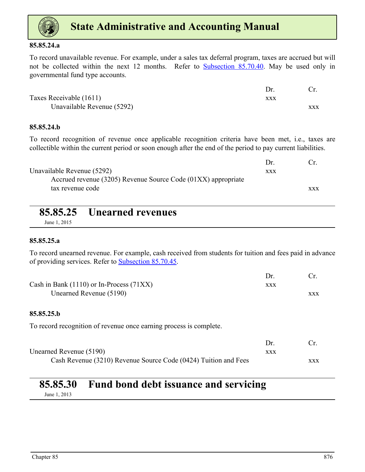<span id="page-2-0"></span>

#### **85.85.24.a**

To record unavailable revenue. For example, under a sales tax deferral program, taxes are accrued but will not be collected within the next 12 months. Refer to Subsection 85.70.40. May be used only in governmental fund type accounts.

| Taxes Receivable (1611)    | xxx |     |
|----------------------------|-----|-----|
| Unavailable Revenue (5292) |     | XXX |

### **85.85.24.b**

To record recognition of revenue once applicable recognition criteria have been met, i.e., taxes are collectible within the current period or soon enough after the end of the period to pay current liabilities.

|                                                               | $1$ r      |            |
|---------------------------------------------------------------|------------|------------|
| Unavailable Revenue (5292)                                    | <b>XXX</b> |            |
| Accrued revenue (3205) Revenue Source Code (01XX) appropriate |            |            |
| tax revenue code                                              |            | <b>XXX</b> |
|                                                               |            |            |

### **85.85.25 Unearned revenues**

June 1, 2015

### **85.85.25.a**

To record unearned revenue. For example, cash received from students for tuition and fees paid in advance of providing services. Refer to Subsection 85.70.45.

| Cash in Bank $(1110)$ or In-Process $(71XX)$ | XXX |     |
|----------------------------------------------|-----|-----|
| Unearned Revenue (5190)                      |     | XXX |

### **85.85.25.b**

To record recognition of revenue once earning process is complete.

| Unearned Revenue (5190)                                         | xxx |            |
|-----------------------------------------------------------------|-----|------------|
| Cash Revenue (3210) Revenue Source Code (0424) Tuition and Fees |     | <b>XXX</b> |

### **85.85.30 Fund bond debt issuance and servicing** June 1, 2013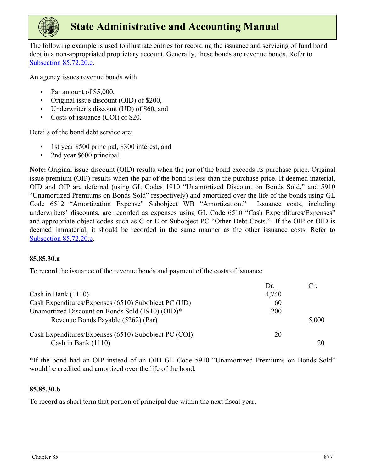

The following example is used to illustrate entries for recording the issuance and servicing of fund bond debt in a non-appropriated proprietary account. Generally, these bonds are revenue bonds. Refer to Subsection 85.72.20.c.

An agency issues revenue bonds with:

- Par amount of \$5,000,
- Original issue discount (OID) of \$200,
- Underwriter's discount (UD) of \$60, and
- Costs of issuance (COI) of \$20.

Details of the bond debt service are:

- 1st year \$500 principal, \$300 interest, and
- 2nd year \$600 principal.

**Note:** Original issue discount (OID) results when the par of the bond exceeds its purchase price. Original issue premium (OIP) results when the par of the bond is less than the purchase price. If deemed material, OID and OIP are deferred (using GL Codes 1910 "Unamortized Discount on Bonds Sold," and 5910 "Unamortized Premiums on Bonds Sold" respectively) and amortized over the life of the bonds using GL Code 6512 "Amortization Expense" Subobject WB "Amortization." Issuance costs, including underwriters' discounts, are recorded as expenses using GL Code 6510 "Cash Expenditures/Expenses" and appropriate object codes such as C or E or Subobject PC "Other Debt Costs." If the OIP or OID is deemed immaterial, it should be recorded in the same manner as the other issuance costs. Refer to Subsection 85.72.20.c.

### **85.85.30.a**

To record the issuance of the revenue bonds and payment of the costs of issuance.

|                                                      | Dr.   | Cr.   |
|------------------------------------------------------|-------|-------|
| Cash in Bank $(1110)$                                | 4,740 |       |
| Cash Expenditures/Expenses (6510) Subobject PC (UD)  | 60    |       |
| Unamortized Discount on Bonds Sold (1910) (OID)*     | 200   |       |
| Revenue Bonds Payable (5262) (Par)                   |       | 5,000 |
| Cash Expenditures/Expenses (6510) Subobject PC (COI) | 20    |       |
| Cash in Bank $(1110)$                                |       | 20    |

\*If the bond had an OIP instead of an OID GL Code 5910 "Unamortized Premiums on Bonds Sold" would be credited and amortized over the life of the bond.

### **85.85.30.b**

To record as short term that portion of principal due within the next fiscal year.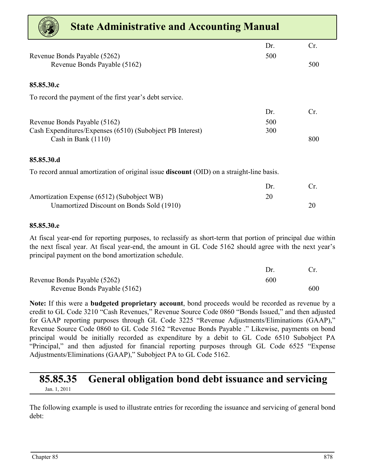<span id="page-4-0"></span>

| <b>State Administrative and Accounting Manual</b>                                               |     |     |
|-------------------------------------------------------------------------------------------------|-----|-----|
|                                                                                                 | Dr. | Cr. |
| Revenue Bonds Payable (5262)                                                                    | 500 |     |
| Revenue Bonds Payable (5162)                                                                    |     | 500 |
|                                                                                                 |     |     |
| 85.85.30.c                                                                                      |     |     |
| To record the payment of the first year's debt service.                                         |     |     |
|                                                                                                 | Dr. | Cr. |
| Revenue Bonds Payable (5162)                                                                    | 500 |     |
| Cash Expenditures/Expenses (6510) (Subobject PB Interest)                                       | 300 |     |
| Cash in Bank $(1110)$                                                                           |     | 800 |
| 85.85.30.d                                                                                      |     |     |
| To record annual amortization of original issue <b>discount</b> (OID) on a straight-line basis. |     |     |
|                                                                                                 | Dr. | Cr. |
| Amortization Expense (6512) (Subobject WB)                                                      | 20  |     |
| Unamortized Discount on Bonds Sold (1910)                                                       |     | 20  |

### **85.85.30.e**

At fiscal year-end for reporting purposes, to reclassify as short-term that portion of principal due within the next fiscal year. At fiscal year-end, the amount in GL Code 5162 should agree with the next year's principal payment on the bond amortization schedule.

| Revenue Bonds Payable (5262) | 600 |     |
|------------------------------|-----|-----|
| Revenue Bonds Payable (5162) |     | 600 |

**Note:** If this were a **budgeted proprietary account**, bond proceeds would be recorded as revenue by a credit to GL Code 3210 "Cash Revenues," Revenue Source Code 0860 "Bonds Issued," and then adjusted for GAAP reporting purposes through GL Code 3225 "Revenue Adjustments/Eliminations (GAAP)," Revenue Source Code 0860 to GL Code 5162 "Revenue Bonds Payable ." Likewise, payments on bond principal would be initially recorded as expenditure by a debit to GL Code 6510 Subobject PA "Principal," and then adjusted for financial reporting purposes through GL Code 6525 "Expense Adjustments/Eliminations (GAAP)," Subobject PA to GL Code 5162.

### **85.85.35 General obligation bond debt issuance and servicing** Jan. 1, 2011

The following example is used to illustrate entries for recording the issuance and servicing of general bond debt: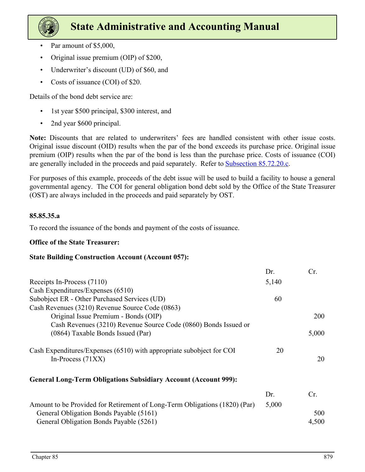

- Par amount of \$5,000,
- Original issue premium (OIP) of \$200,
- Underwriter's discount (UD) of \$60, and
- Costs of issuance (COI) of \$20.

Details of the bond debt service are:

- 1st year \$500 principal, \$300 interest, and
- 2nd year \$600 principal.

**Note:** Discounts that are related to underwriters' fees are handled consistent with other issue costs. Original issue discount (OID) results when the par of the bond exceeds its purchase price. Original issue premium (OIP) results when the par of the bond is less than the purchase price. Costs of issuance (COI) are generally included in the proceeds and paid separately. Refer to **Subsection 85.72.20.c.** 

For purposes of this example, proceeds of the debt issue will be used to build a facility to house a general governmental agency. The COI for general obligation bond debt sold by the Office of the State Treasurer (OST) are always included in the proceeds and paid separately by OST.

### **85.85.35.a**

To record the issuance of the bonds and payment of the costs of issuance.

### **Office of the State Treasurer:**

### **State Building Construction Account (Account 057):**

|                                                                            | Dr.   | Cr.        |
|----------------------------------------------------------------------------|-------|------------|
| Receipts In-Process (7110)                                                 | 5,140 |            |
| Cash Expenditures/Expenses (6510)                                          |       |            |
| Subobject ER - Other Purchased Services (UD)                               | 60    |            |
| Cash Revenues (3210) Revenue Source Code (0863)                            |       |            |
| Original Issue Premium - Bonds (OIP)                                       |       | <b>200</b> |
| Cash Revenues (3210) Revenue Source Code (0860) Bonds Issued or            |       |            |
| (0864) Taxable Bonds Issued (Par)                                          |       | 5,000      |
| Cash Expenditures/Expenses (6510) with appropriate subobject for COI       | 20    |            |
| In-Process $(71XX)$                                                        |       | 20         |
| <b>General Long-Term Obligations Subsidiary Account (Account 999):</b>     |       |            |
|                                                                            |       |            |
|                                                                            | Dr.   | Cr.        |
| Amount to be Provided for Retirement of Long-Term Obligations (1820) (Par) | 5,000 |            |
| General Obligation Bonds Payable (5161)                                    |       | 500        |
| General Obligation Bonds Payable (5261)                                    |       | 4,500      |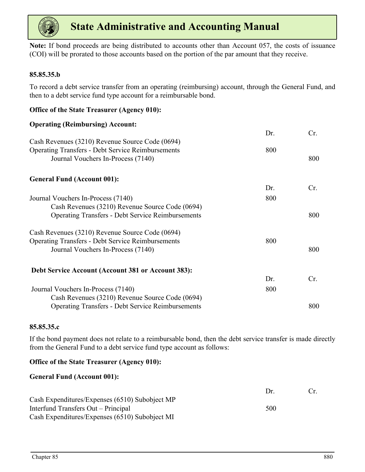

**Note:** If bond proceeds are being distributed to accounts other than Account 057, the costs of issuance (COI) will be prorated to those accounts based on the portion of the par amount that they receive.

### **85.85.35.b**

To record a debt service transfer from an operating (reimbursing) account, through the General Fund, and then to a debt service fund type account for a reimbursable bond.

| Cr.               |
|-------------------|
|                   |
|                   |
|                   |
| 800               |
| 800               |
|                   |
| Cr.               |
|                   |
|                   |
| 800               |
|                   |
|                   |
| 800               |
|                   |
| Cr.               |
|                   |
|                   |
| 800               |
| 800<br>800<br>800 |

### **85.85.35.c**

If the bond payment does not relate to a reimbursable bond, then the debt service transfer is made directly from the General Fund to a debt service fund type account as follows:

### **Office of the State Treasurer (Agency 010):**

**Office of the State Treasurer (Agency 010):**

### **General Fund (Account 001):**

|                                                | $1$ r | $Cr_{-}$ |
|------------------------------------------------|-------|----------|
| Cash Expenditures/Expenses (6510) Subobject MP |       |          |
| Interfund Transfers Out – Principal            | 500   |          |
| Cash Expenditures/Expenses (6510) Subobject MI |       |          |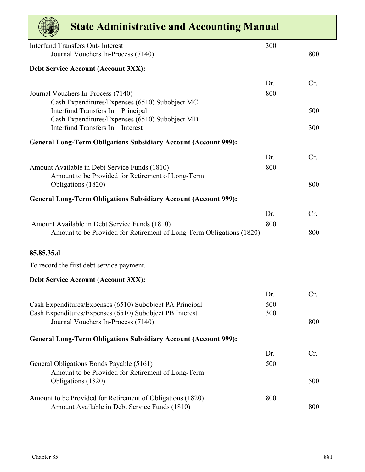| <b>State Administrative and Accounting Manual</b>                                             |     |     |
|-----------------------------------------------------------------------------------------------|-----|-----|
| <b>Interfund Transfers Out-Interest</b>                                                       | 300 |     |
| Journal Vouchers In-Process (7140)                                                            |     | 800 |
| Debt Service Account (Account 3XX):                                                           |     |     |
|                                                                                               | Dr. | Cr. |
| Journal Vouchers In-Process (7140)                                                            | 800 |     |
| Cash Expenditures/Expenses (6510) Subobject MC<br>Interfund Transfers In - Principal          |     | 500 |
| Cash Expenditures/Expenses (6510) Subobject MD                                                |     |     |
| Interfund Transfers In - Interest                                                             |     | 300 |
| <b>General Long-Term Obligations Subsidiary Account (Account 999):</b>                        |     |     |
|                                                                                               | Dr. | Cr. |
| Amount Available in Debt Service Funds (1810)                                                 | 800 |     |
| Amount to be Provided for Retirement of Long-Term<br>Obligations (1820)                       |     | 800 |
| <b>General Long-Term Obligations Subsidiary Account (Account 999):</b>                        |     |     |
|                                                                                               | Dr. | Cr. |
| Amount Available in Debt Service Funds (1810)                                                 | 800 |     |
| Amount to be Provided for Retirement of Long-Term Obligations (1820)                          |     | 800 |
| 85.85.35.d                                                                                    |     |     |
| To record the first debt service payment.                                                     |     |     |
| <b>Debt Service Account (Account 3XX):</b>                                                    |     |     |
|                                                                                               | Dr. | Cr. |
| Cash Expenditures/Expenses (6510) Subobject PA Principal                                      | 500 |     |
| Cash Expenditures/Expenses (6510) Subobject PB Interest<br>Journal Vouchers In-Process (7140) | 300 | 800 |
|                                                                                               |     |     |
| <b>General Long-Term Obligations Subsidiary Account (Account 999):</b>                        |     |     |
|                                                                                               | Dr. | Cr. |
| General Obligations Bonds Payable (5161)                                                      | 500 |     |
| Amount to be Provided for Retirement of Long-Term<br>Obligations (1820)                       |     | 500 |
|                                                                                               |     |     |
| Amount to be Provided for Retirement of Obligations (1820)                                    | 800 | 800 |
| Amount Available in Debt Service Funds (1810)                                                 |     |     |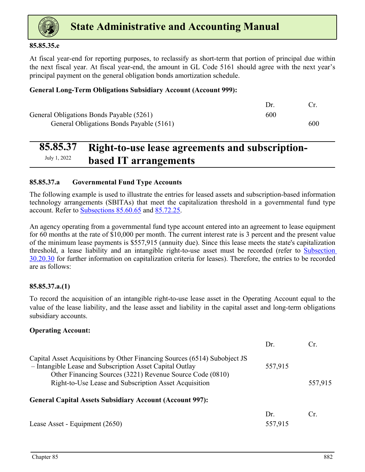<span id="page-8-0"></span>

### **85.85.35.e**

At fiscal year-end for reporting purposes, to reclassify as short-term that portion of principal due within the next fiscal year. At fiscal year-end, the amount in GL Code 5161 should agree with the next year's principal payment on the general obligation bonds amortization schedule.

### **General Long-Term Obligations Subsidiary Account (Account 999):**

|                                          | $1$ r |     |
|------------------------------------------|-------|-----|
| General Obligations Bonds Payable (5261) | 600   |     |
| General Obligations Bonds Payable (5161) |       | 600 |

### **85.85.37 Right-to-use lease agreements and subscriptionbased IT arrangements**

### **85.85.37.a Governmental Fund Type Accounts**

The following example is used to illustrate the entries for leased assets and subscription-based information technology arrangements (SBITAs) that meet the capitalization threshold in a governmental fund type account. Refer to Subsections 85.60.65 and 85.72.25.

An agency operating from a governmental fund type account entered into an agreement to lease equipment for 60 months at the rate of \$10,000 per month. The current interest rate is 3 percent and the present value of the minimum lease payments is \$557,915 (annuity due). Since this lease meets the state's capitalization threshold, a lease liability and an intangible right-to-use asset must be recorded (refer to Subsection 30.20.30 for further information on capitalization criteria for leases). Therefore, the entries to be recorded are as follows:

### **85.85.37.a.(1)**

To record the acquisition of an intangible right-to-use lease asset in the Operating Account equal to the value of the lease liability, and the lease asset and liability in the capital asset and long-term obligations subsidiary accounts.

### **Operating Account:**

|                                                                                                                                                                                                                                                             | Dr.            | Cr.     |
|-------------------------------------------------------------------------------------------------------------------------------------------------------------------------------------------------------------------------------------------------------------|----------------|---------|
| Capital Asset Acquisitions by Other Financing Sources (6514) Subobject JS<br>- Intangible Lease and Subscription Asset Capital Outlay<br>Other Financing Sources (3221) Revenue Source Code (0810)<br>Right-to-Use Lease and Subscription Asset Acquisition | 557,915        | 557,915 |
| <b>General Capital Assets Subsidiary Account (Account 997):</b>                                                                                                                                                                                             |                |         |
| Lease Asset - Equipment (2650)                                                                                                                                                                                                                              | Dr.<br>557,915 | Cr.     |
|                                                                                                                                                                                                                                                             |                |         |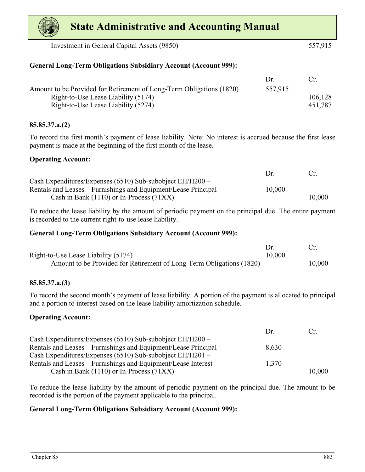Investment in General Capital Assets (9850) 557,915

### **General Long-Term Obligations Subsidiary Account (Account 999):**

|                                                                      | $1$ r   | Cr.     |
|----------------------------------------------------------------------|---------|---------|
| Amount to be Provided for Retirement of Long-Term Obligations (1820) | 557,915 |         |
| Right-to-Use Lease Liability (5174)                                  |         | 106,128 |
| Right-to-Use Lease Liability (5274)                                  |         | 451.787 |

### **85.85.37.a.(2)**

To record the first month's payment of lease liability. Note: No interest is accrued because the first lease payment is made at the beginning of the first month of the lease.

### **Operating Account:**

|                                                                | Dr.    | $\Gamma$ |
|----------------------------------------------------------------|--------|----------|
| Cash Expenditures/Expenses $(6510)$ Sub-subobject EH/H200 –    |        |          |
| Rentals and Leases – Furnishings and Equipment/Lease Principal | 10,000 |          |
| Cash in Bank $(1110)$ or In-Process $(71XX)$                   |        | 10,000   |

To reduce the lease liability by the amount of periodic payment on the principal due. The entire payment is recorded to the current right-to-use lease liability.

### **General Long-Term Obligations Subsidiary Account (Account 999):**

| Right-to-Use Lease Liability (5174)                                  | 10,000 |        |
|----------------------------------------------------------------------|--------|--------|
| Amount to be Provided for Retirement of Long-Term Obligations (1820) |        | 10,000 |

### **85.85.37.a.(3)**

To record the second month's payment of lease liability. A portion of the payment is allocated to principal and a portion to interest based on the lease liability amortization schedule.

### **Operating Account:**

|                                                                | $1$ r | $\mathfrak{c}$ |
|----------------------------------------------------------------|-------|----------------|
| Cash Expenditures/Expenses $(6510)$ Sub-subobject EH/H200 –    |       |                |
| Rentals and Leases – Furnishings and Equipment/Lease Principal | 8.630 |                |
| Cash Expenditures/Expenses $(6510)$ Sub-subobject EH/H201 –    |       |                |
| Rentals and Leases – Furnishings and Equipment/Lease Interest  | 1,370 |                |
| Cash in Bank $(1110)$ or In-Process $(71XX)$                   |       | 10,000         |

To reduce the lease liability by the amount of periodic payment on the principal due. The amount to be recorded is the portion of the payment applicable to the principal.

### **General Long-Term Obligations Subsidiary Account (Account 999):**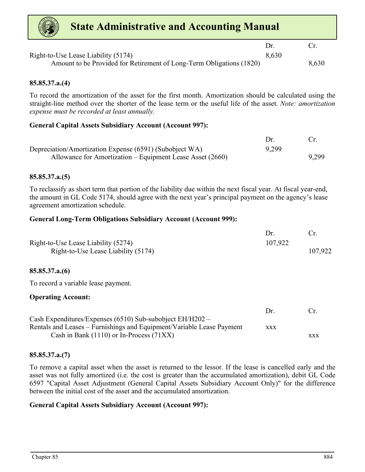

|                                                                      | Dr.   |       |
|----------------------------------------------------------------------|-------|-------|
| Right-to-Use Lease Liability (5174)                                  | 8.630 |       |
| Amount to be Provided for Retirement of Long-Term Obligations (1820) |       | 8,630 |

### **85.85.37.a.(4)**

To record the amortization of the asset for the first month. Amortization should be calculated using the straight-line method over the shorter of the lease term or the useful life of the asset. *Note: amortization expense must be recorded at least annually.* 

### **General Capital Assets Subsidiary Account (Account 997):**

| Depreciation/Amortization Expense (6591) (Subobject WA)   | 9,299 |       |
|-----------------------------------------------------------|-------|-------|
| Allowance for Amortization – Equipment Lease Asset (2660) |       | 9,299 |

### **85.85.37.a.(5)**

To reclassify as short term that portion of the liability due within the next fiscal year. At fiscal year-end, the amount in GL Code 5174, should agree with the next year's principal payment on the agency's lease agreement amortization schedule.

### **General Long-Term Obligations Subsidiary Account (Account 999):**

| Right-to-Use Lease Liability (5274) | 107,922 |         |
|-------------------------------------|---------|---------|
| Right-to-Use Lease Liability (5174) |         | 107,922 |

### **85.85.37.a.(6)**

To record a variable lease payment.

#### **Operating Account:**

|                                                                       | $1$ r      | $\Gamma$   |
|-----------------------------------------------------------------------|------------|------------|
| Cash Expenditures/Expenses $(6510)$ Sub-subobject EH/H202 –           |            |            |
| Rentals and Leases – Furnishings and Equipment/Variable Lease Payment | <b>XXX</b> |            |
| Cash in Bank $(1110)$ or In-Process $(71XX)$                          |            | <b>XXX</b> |

### **85.85.37.a.(7)**

To remove a capital asset when the asset is returned to the lessor. If the lease is cancelled early and the asset was not fully amortized (i.e. the cost is greater than the accumulated amortization), debit GL Code 6597 "Capital Asset Adjustment (General Capital Assets Subsidiary Account Only)" for the difference between the initial cost of the asset and the accumulated amortization.

#### **General Capital Assets Subsidiary Account (Account 997):**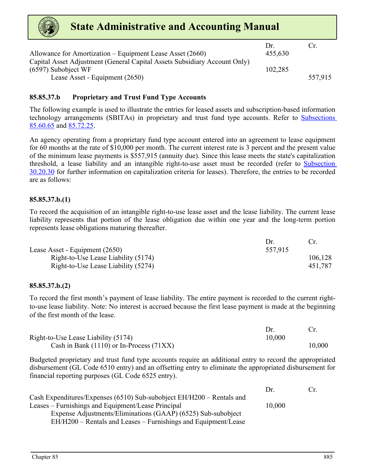

|                                                                           | $1$ r   | Cr.     |
|---------------------------------------------------------------------------|---------|---------|
| Allowance for Amortization – Equipment Lease Asset (2660)                 | 455,630 |         |
| Capital Asset Adjustment (General Capital Assets Subsidiary Account Only) |         |         |
| $(6597)$ Subobject WF                                                     | 102,285 |         |
| Lease Asset - Equipment (2650)                                            |         | 557,915 |

### **85.85.37.b Proprietary and Trust Fund Type Accounts**

The following example is used to illustrate the entries for leased assets and subscription-based information technology arrangements (SBITAs) in proprietary and trust fund type accounts. Refer to Subsections 85.60.65 and <u>85.72.25</u>.

An agency operating from a proprietary fund type account entered into an agreement to lease equipment for 60 months at the rate of \$10,000 per month. The current interest rate is 3 percent and the present value of the minimum lease payments is \$557,915 (annuity due). Since this lease meets the state's capitalization threshold, a lease liability and an intangible right-to-use asset must be recorded (refer to Subsection 30.20.30 for further information on capitalization criteria for leases). Therefore, the entries to be recorded are as follows:

### **85.85.37.b.(1)**

To record the acquisition of an intangible right-to-use lease asset and the lease liability. The current lease liability represents that portion of the lease obligation due within one year and the long-term portion represents lease obligations maturing thereafter.

| Lease Asset - Equipment (2650)      | 557,915 |         |
|-------------------------------------|---------|---------|
| Right-to-Use Lease Liability (5174) |         | 106,128 |
| Right-to-Use Lease Liability (5274) |         | 451,787 |

### **85.85.37.b.(2)**

To record the first month's payment of lease liability. The entire payment is recorded to the current rightto-use lease liability. Note: No interest is accrued because the first lease payment is made at the beginning of the first month of the lease.

| Right-to-Use Lease Liability (5174)          | 10.000 |        |
|----------------------------------------------|--------|--------|
| Cash in Bank $(1110)$ or In-Process $(71XX)$ |        | 10.000 |

Budgeted proprietary and trust fund type accounts require an additional entry to record the appropriated disbursement (GL Code 6510 entry) and an offsetting entry to eliminate the appropriated disbursement for financial reporting purposes (GL Code 6525 entry).

|                                                                         | Dr     | Cr |
|-------------------------------------------------------------------------|--------|----|
| Cash Expenditures/Expenses $(6510)$ Sub-subobject EH/H200 – Rentals and |        |    |
| Leases – Furnishings and Equipment/Lease Principal                      | 10.000 |    |
| Expense Adjustments/Eliminations (GAAP) (6525) Sub-subobject            |        |    |
| EH/H200 – Rentals and Leases – Furnishings and Equipment/Lease          |        |    |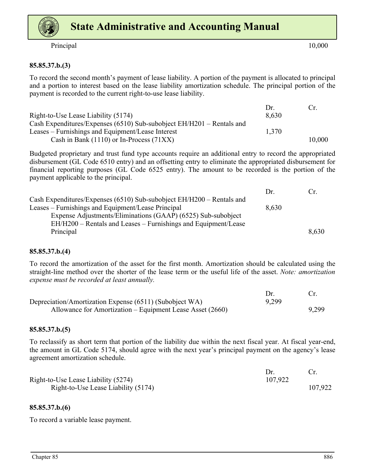

Principal 10,000

### **85.85.37.b.(3)**

To record the second month's payment of lease liability. A portion of the payment is allocated to principal and a portion to interest based on the lease liability amortization schedule. The principal portion of the payment is recorded to the current right-to-use lease liability.

|                                                                         | $1$ r | $(\cdot_r)$ |
|-------------------------------------------------------------------------|-------|-------------|
| Right-to-Use Lease Liability (5174)                                     | 8.630 |             |
| Cash Expenditures/Expenses (6510) Sub-subobject $EH/H201$ – Rentals and |       |             |
| Leases – Furnishings and Equipment/Lease Interest                       | 1.370 |             |
| Cash in Bank $(1110)$ or In-Process $(71XX)$                            |       | 10,000      |

Budgeted proprietary and trust fund type accounts require an additional entry to record the appropriated disbursement (GL Code 6510 entry) and an offsetting entry to eliminate the appropriated disbursement for financial reporting purposes (GL Code 6525 entry). The amount to be recorded is the portion of the payment applicable to the principal.

|                                                                       | Dr    | Cr.   |
|-----------------------------------------------------------------------|-------|-------|
| Cash Expenditures/Expenses (6510) Sub-subobject EH/H200 – Rentals and |       |       |
| Leases – Furnishings and Equipment/Lease Principal                    | 8,630 |       |
| Expense Adjustments/Eliminations (GAAP) (6525) Sub-subobject          |       |       |
| EH/H200 – Rentals and Leases – Furnishings and Equipment/Lease        |       |       |
| Principal                                                             |       | 8,630 |

#### **85.85.37.b.(4)**

To record the amortization of the asset for the first month. Amortization should be calculated using the straight-line method over the shorter of the lease term or the useful life of the asset. *Note: amortization expense must be recorded at least annually.*

| Depreciation/Amortization Expense (6511) (Subobject WA)   | 9,299 |       |
|-----------------------------------------------------------|-------|-------|
| Allowance for Amortization – Equipment Lease Asset (2660) |       | 9,299 |

#### **85.85.37.b.(5)**

To reclassify as short term that portion of the liability due within the next fiscal year. At fiscal year-end, the amount in GL Code 5174, should agree with the next year's principal payment on the agency's lease agreement amortization schedule.

| Right-to-Use Lease Liability (5274) | 107.922 |         |
|-------------------------------------|---------|---------|
| Right-to-Use Lease Liability (5174) |         | 107,922 |

#### **85.85.37.b.(6)**

To record a variable lease payment.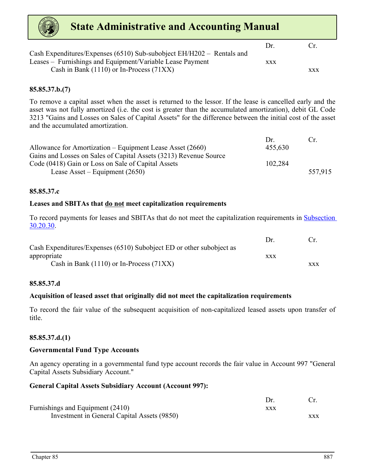| <b>State Administrative and Accounting Manual</b>                                                                                  |            |            |
|------------------------------------------------------------------------------------------------------------------------------------|------------|------------|
|                                                                                                                                    | Dr.        | Cr         |
| Cash Expenditures/Expenses (6510) Sub-subobject EH/H202 – Rentals and<br>Leases - Furnishings and Equipment/Variable Lease Payment | <b>XXX</b> |            |
| Cash in Bank $(1110)$ or In-Process $(71XX)$                                                                                       |            | <b>XXX</b> |

### **85.85.37.b.(7)**

To remove a capital asset when the asset is returned to the lessor. If the lease is cancelled early and the asset was not fully amortized (i.e. the cost is greater than the accumulated amortization), debit GL Code 3213 "Gains and Losses on Sales of Capital Assets" for the difference between the initial cost of the asset and the accumulated amortization.

|                                                                   | $1$ r   | $C_{\rm T}$ |
|-------------------------------------------------------------------|---------|-------------|
| Allowance for Amortization – Equipment Lease Asset (2660)         | 455,630 |             |
| Gains and Losses on Sales of Capital Assets (3213) Revenue Source |         |             |
| Code (0418) Gain or Loss on Sale of Capital Assets                | 102,284 |             |
| Lease Asset – Equipment $(2650)$                                  |         | 557.915     |

#### **85.85.37.c**

#### **Leases and SBITAs that do not meet capitalization requirements**

To record payments for leases and SBITAs that do not meet the capitalization requirements in Subsection 30.20.30.

|                                                                      | $1$ r | Cr         |
|----------------------------------------------------------------------|-------|------------|
| Cash Expenditures/Expenses (6510) Subobject ED or other subobject as |       |            |
| appropriate                                                          | XXX   |            |
| Cash in Bank $(1110)$ or In-Process $(71XX)$                         |       | <b>XXX</b> |

#### **85.85.37.d**

#### **Acquisition of leased asset that originally did not meet the capitalization requirements**

To record the fair value of the subsequent acquisition of non-capitalized leased assets upon transfer of title.

#### **85.85.37.d.(1)**

#### **Governmental Fund Type Accounts**

An agency operating in a governmental fund type account records the fair value in Account 997 "General Capital Assets Subsidiary Account."

#### **General Capital Assets Subsidiary Account (Account 997):**

| Furnishings and Equipment (2410)            | xxx |     |
|---------------------------------------------|-----|-----|
| Investment in General Capital Assets (9850) |     | XXX |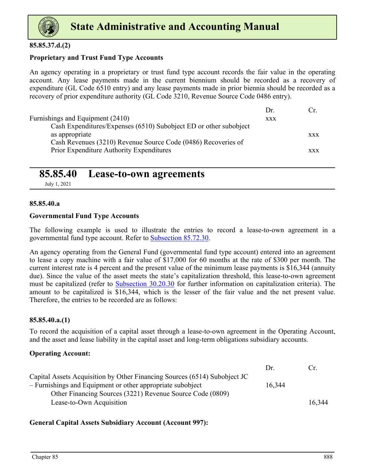<span id="page-14-0"></span>

### **85.85.37.d.(2)**

### **Proprietary and Trust Fund Type Accounts**

An agency operating in a proprietary or trust fund type account records the fair value in the operating account. Any lease payments made in the current biennium should be recorded as a recovery of expenditure (GL Code 6510 entry) and any lease payments made in prior biennia should be recorded as a recovery of prior expenditure authority (GL Code 3210, Revenue Source Code 0486 entry).

|                                                                   | Dr         | €r         |
|-------------------------------------------------------------------|------------|------------|
| Furnishings and Equipment (2410)                                  | <b>XXX</b> |            |
| Cash Expenditures/Expenses (6510) Subobject ED or other subobject |            |            |
| as appropriate                                                    |            | <b>XXX</b> |
| Cash Revenues (3210) Revenue Source Code (0486) Recoveries of     |            |            |
| Prior Expenditure Authority Expenditures                          |            | XXX        |

### **85.85.40 Lease-to-own agreements**

July 1, 2021

### **85.85.40.a**

### **Governmental Fund Type Accounts**

The following example is used to illustrate the entries to record a lease-to-own agreement in a governmental fund type account. Refer to Subsection 85.72.30.

An agency operating from the General Fund (governmental fund type account) entered into an agreement to lease a copy machine with a fair value of \$17,000 for 60 months at the rate of \$300 per month. The current interest rate is 4 percent and the present value of the minimum lease payments is \$16,344 (annuity due). Since the value of the asset meets the state's capitalization threshold, this lease-to-own agreement must be capitalized (refer to Subsection 30.20.30 for further information on capitalization criteria). The amount to be capitalized is \$16,344, which is the lesser of the fair value and the net present value. Therefore, the entries to be recorded are as follows:

### **85.85.40.a.(1)**

To record the acquisition of a capital asset through a lease-to-own agreement in the Operating Account, and the asset and lease liability in the capital asset and long-term obligations subsidiary accounts.

### **Operating Account:**

|                                                                           | Dr     | $\mathfrak{c}$ |
|---------------------------------------------------------------------------|--------|----------------|
| Capital Assets Acquisition by Other Financing Sources (6514) Subobject JC |        |                |
| - Furnishings and Equipment or other appropriate subobject                | 16,344 |                |
| Other Financing Sources (3221) Revenue Source Code (0809)                 |        |                |
| Lease-to-Own Acquisition                                                  |        | 16.344         |

### **General Capital Assets Subsidiary Account (Account 997):**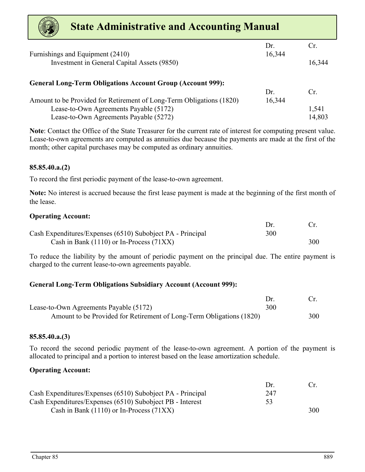| <b>State Administrative and Accounting Manual</b>                    |        |        |
|----------------------------------------------------------------------|--------|--------|
|                                                                      | Dr.    | Cr.    |
| Furnishings and Equipment (2410)                                     | 16,344 |        |
| Investment in General Capital Assets (9850)                          |        | 16,344 |
| <b>General Long-Term Obligations Account Group (Account 999):</b>    |        |        |
|                                                                      | Dr     | Cr     |
| Amount to be Provided for Retirement of Long-Term Obligations (1820) | 16,344 |        |
| Lease-to-Own Agreements Payable (5172)                               |        | 1,541  |
| Lease-to-Own Agreements Payable (5272)                               |        | 14,803 |

**Note**: Contact the Office of the State Treasurer for the current rate of interest for computing present value. Lease-to-own agreements are computed as annuities due because the payments are made at the first of the month; other capital purchases may be computed as ordinary annuities.

### **85.85.40.a.(2)**

To record the first periodic payment of the lease-to-own agreement.

**Note:** No interest is accrued because the first lease payment is made at the beginning of the first month of the lease.

### **Operating Account:**

| Cash Expenditures/Expenses (6510) Subobject PA - Principal | 300 |     |
|------------------------------------------------------------|-----|-----|
| Cash in Bank $(1110)$ or In-Process $(71XX)$               |     | 300 |

To reduce the liability by the amount of periodic payment on the principal due. The entire payment is charged to the current lease-to-own agreements payable.

### **General Long-Term Obligations Subsidiary Account (Account 999):**

| Lease-to-Own Agreements Payable (5172)                               | 300 |     |
|----------------------------------------------------------------------|-----|-----|
| Amount to be Provided for Retirement of Long-Term Obligations (1820) |     | 300 |

### **85.85.40.a.(3)**

To record the second periodic payment of the lease-to-own agreement. A portion of the payment is allocated to principal and a portion to interest based on the lease amortization schedule.

### **Operating Account:**

|                                                            | $1$ r |     |
|------------------------------------------------------------|-------|-----|
| Cash Expenditures/Expenses (6510) Subobject PA - Principal | 247   |     |
| Cash Expenditures/Expenses (6510) Subobject PB - Interest  | 53    |     |
| Cash in Bank $(1110)$ or In-Process $(71XX)$               |       | 300 |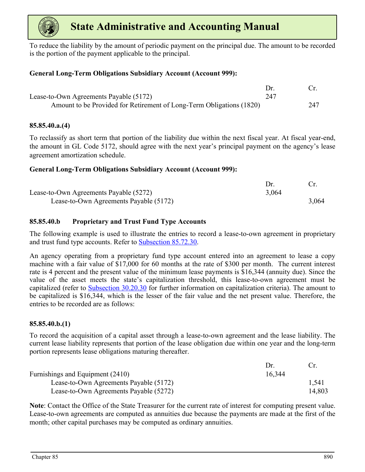

To reduce the liability by the amount of periodic payment on the principal due. The amount to be recorded is the portion of the payment applicable to the principal.

### **General Long-Term Obligations Subsidiary Account (Account 999):**

| Lease-to-Own Agreements Payable (5172)                               | 247 |     |
|----------------------------------------------------------------------|-----|-----|
| Amount to be Provided for Retirement of Long-Term Obligations (1820) |     | 247 |

### **85.85.40.a.(4)**

To reclassify as short term that portion of the liability due within the next fiscal year. At fiscal year-end, the amount in GL Code 5172, should agree with the next year's principal payment on the agency's lease agreement amortization schedule.

### **General Long-Term Obligations Subsidiary Account (Account 999):**

| Lease-to-Own Agreements Payable (5272) | 3,064 |       |
|----------------------------------------|-------|-------|
| Lease-to-Own Agreements Payable (5172) |       | 3,064 |

### **85.85.40.b Proprietary and Trust Fund Type Accounts**

The following example is used to illustrate the entries to record a lease-to-own agreement in proprietary and trust fund type accounts. Refer to Subsection 85.72.30.

An agency operating from a proprietary fund type account entered into an agreement to lease a copy machine with a fair value of \$17,000 for 60 months at the rate of \$300 per month. The current interest rate is 4 percent and the present value of the minimum lease payments is \$16,344 (annuity due). Since the value of the asset meets the state's capitalization threshold, this lease-to-own agreement must be capitalized (refer to Subsection 30.20.30 for further information on capitalization criteria). The amount to be capitalized is \$16,344, which is the lesser of the fair value and the net present value. Therefore, the entries to be recorded are as follows:

### **85.85.40.b.(1)**

To record the acquisition of a capital asset through a lease-to-own agreement and the lease liability. The current lease liability represents that portion of the lease obligation due within one year and the long-term portion represents lease obligations maturing thereafter.

|                                        | l)r    |        |
|----------------------------------------|--------|--------|
| Furnishings and Equipment (2410)       | 16,344 |        |
| Lease-to-Own Agreements Payable (5172) |        | 1.541  |
| Lease-to-Own Agreements Payable (5272) |        | 14.803 |

**Note**: Contact the Office of the State Treasurer for the current rate of interest for computing present value. Lease-to-own agreements are computed as annuities due because the payments are made at the first of the month; other capital purchases may be computed as ordinary annuities.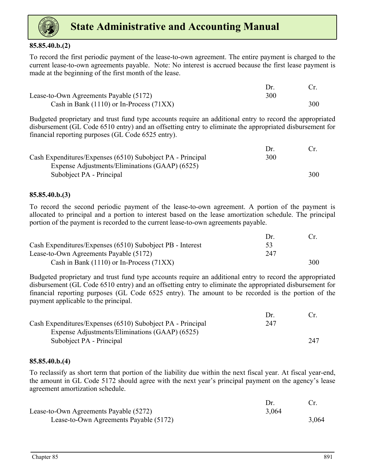

### **85.85.40.b.(2)**

To record the first periodic payment of the lease-to-own agreement. The entire payment is charged to the current lease-to-own agreements payable. Note: No interest is accrued because the first lease payment is made at the beginning of the first month of the lease.

| Lease-to-Own Agreements Payable (5172)       | 300 |     |
|----------------------------------------------|-----|-----|
| Cash in Bank $(1110)$ or In-Process $(71XX)$ |     | 300 |

Budgeted proprietary and trust fund type accounts require an additional entry to record the appropriated disbursement (GL Code 6510 entry) and an offsetting entry to eliminate the appropriated disbursement for financial reporting purposes (GL Code 6525 entry).

|                                                            | $1$ r |     |
|------------------------------------------------------------|-------|-----|
| Cash Expenditures/Expenses (6510) Subobject PA - Principal | 300   |     |
| Expense Adjustments/Eliminations (GAAP) (6525)             |       |     |
| Subobject PA - Principal                                   |       | 300 |

### **85.85.40.b.(3)**

To record the second periodic payment of the lease-to-own agreement. A portion of the payment is allocated to principal and a portion to interest based on the lease amortization schedule. The principal portion of the payment is recorded to the current lease-to-own agreements payable.

|                                                           | $1$ r |     |
|-----------------------------------------------------------|-------|-----|
| Cash Expenditures/Expenses (6510) Subobject PB - Interest | 53    |     |
| Lease-to-Own Agreements Payable (5172)                    | 247   |     |
| Cash in Bank $(1110)$ or In-Process $(71XX)$              |       | 300 |

Budgeted proprietary and trust fund type accounts require an additional entry to record the appropriated disbursement (GL Code 6510 entry) and an offsetting entry to eliminate the appropriated disbursement for financial reporting purposes (GL Code 6525 entry). The amount to be recorded is the portion of the payment applicable to the principal.

|                                                            | $1$ r |     |
|------------------------------------------------------------|-------|-----|
| Cash Expenditures/Expenses (6510) Subobject PA - Principal | 247   |     |
| Expense Adjustments/Eliminations (GAAP) (6525)             |       |     |
| Subobject PA - Principal                                   |       | 247 |

### **85.85.40.b.(4)**

To reclassify as short term that portion of the liability due within the next fiscal year. At fiscal year-end, the amount in GL Code 5172 should agree with the next year's principal payment on the agency's lease agreement amortization schedule.

| Lease-to-Own Agreements Payable (5272) | 3,064 |       |
|----------------------------------------|-------|-------|
| Lease-to-Own Agreements Payable (5172) |       | 3,064 |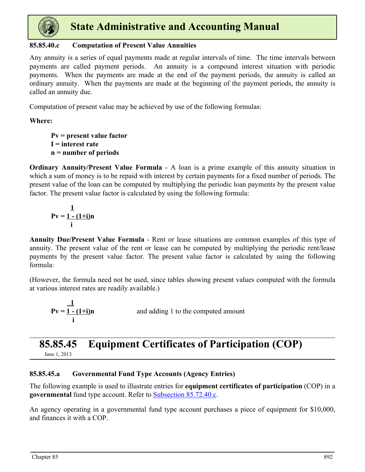<span id="page-18-0"></span>

### **85.85.40.c Computation of Present Value Annuities**

Any annuity is a series of equal payments made at regular intervals of time. The time intervals between payments are called payment periods. An annuity is a compound interest situation with periodic payments. When the payments are made at the end of the payment periods, the annuity is called an ordinary annuity. When the payments are made at the beginning of the payment periods, the annuity is called an annuity due.

Computation of present value may be achieved by use of the following formulas:

### **Where:**

**Pv = present value factor I = interest rate n = number of periods**

**Ordinary Annuity/Present Value Formula** - A loan is a prime example of this annuity situation in which a sum of money is to be repaid with interest by certain payments for a fixed number of periods. The present value of the loan can be computed by multiplying the periodic loan payments by the present value factor. The present value factor is calculated by using the following formula:

$$
P_V = \frac{1}{1 - (1 + i)n}
$$

**Annuity Due/Present Value Formula** - Rent or lease situations are common examples of this type of annuity. The present value of the rent or lease can be computed by multiplying the periodic rent/lease payments by the present value factor. The present value factor is calculated by using the following formula:

(However, the formula need not be used, since tables showing present values computed with the formula at various interest rates are readily available.)

$$
Pv = \frac{1}{\frac{1-(1+i)}{i}n}
$$

and adding 1 to the computed amount

### **85.85.45 Equipment Certificates of Participation (COP)** June 1, 2013

### **85.85.45.a Governmental Fund Type Accounts (Agency Entries)**

The following example is used to illustrate entries for **equipment certificates of participation** (COP) in a **governmental** fund type account. Refer to Subsection 85.72.40.c.

An agency operating in a governmental fund type account purchases a piece of equipment for \$10,000, and finances it with a COP.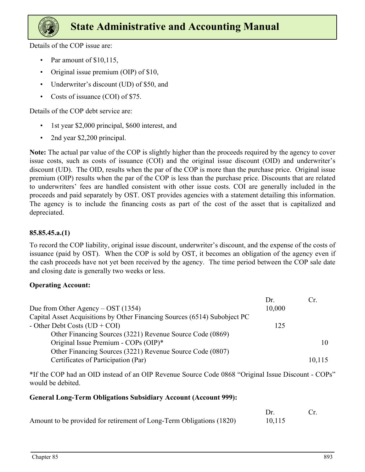

Details of the COP issue are:

- Par amount of \$10,115,
- Original issue premium (OIP) of \$10,
- Underwriter's discount (UD) of \$50, and
- Costs of issuance (COI) of \$75.

Details of the COP debt service are:

- 1st year \$2,000 principal, \$600 interest, and
- 2nd year \$2,200 principal.

**Note:** The actual par value of the COP is slightly higher than the proceeds required by the agency to cover issue costs, such as costs of issuance (COI) and the original issue discount (OID) and underwriter's discount (UD). The OID, results when the par of the COP is more than the purchase price. Original issue premium (OIP) results when the par of the COP is less than the purchase price. Discounts that are related to underwriters' fees are handled consistent with other issue costs. COI are generally included in the proceeds and paid separately by OST. OST provides agencies with a statement detailing this information. The agency is to include the financing costs as part of the cost of the asset that is capitalized and depreciated.

### **85.85.45.a.(1)**

To record the COP liability, original issue discount, underwriter's discount, and the expense of the costs of issuance (paid by OST). When the COP is sold by OST, it becomes an obligation of the agency even if the cash proceeds have not yet been received by the agency. The time period between the COP sale date and closing date is generally two weeks or less.

### **Operating Account:**

|                                                                           | Dr.    |        |
|---------------------------------------------------------------------------|--------|--------|
| Due from Other Agency – OST $(1354)$                                      | 10,000 |        |
| Capital Asset Acquisitions by Other Financing Sources (6514) Subobject PC |        |        |
| - Other Debt Costs $(UD + COI)$                                           | 125    |        |
| Other Financing Sources (3221) Revenue Source Code (0869)                 |        |        |
| Original Issue Premium - COPs (OIP)*                                      |        | 10     |
| Other Financing Sources (3221) Revenue Source Code (0807)                 |        |        |
| Certificates of Participation (Par)                                       |        | 10,115 |

\*If the COP had an OID instead of an OIP Revenue Source Code 0868 "Original Issue Discount - COPs" would be debited.

### **General Long-Term Obligations Subsidiary Account (Account 999):**

| Amount to be provided for retirement of Long-Term Obligations (1820) | 10,115 |  |
|----------------------------------------------------------------------|--------|--|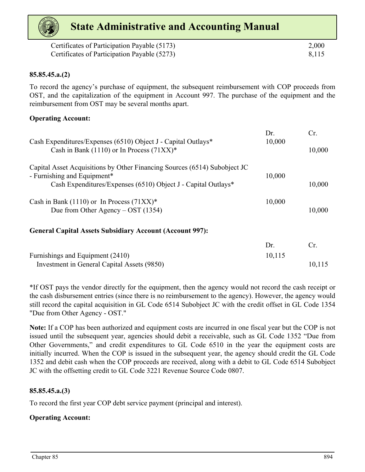| Certificates of Participation Payable (5173) | 2,000 |
|----------------------------------------------|-------|
| Certificates of Participation Payable (5273) | 8,115 |

### **85.85.45.a.(2)**

To record the agency's purchase of equipment, the subsequent reimbursement with COP proceeds from OST, and the capitalization of the equipment in Account 997. The purchase of the equipment and the reimbursement from OST may be several months apart.

### **Operating Account:**

| Cash Expenditures/Expenses (6510) Object J - Capital Outlays*                                            | Dr.<br>10,000 | Cr     |
|----------------------------------------------------------------------------------------------------------|---------------|--------|
| Cash in Bank (1110) or In Process (71XX)*                                                                |               | 10,000 |
| Capital Asset Acquisitions by Other Financing Sources (6514) Subobject JC<br>- Furnishing and Equipment* | 10,000        |        |
| Cash Expenditures/Expenses (6510) Object J - Capital Outlays*                                            |               | 10,000 |
| Cash in Bank (1110) or In Process (71XX)*                                                                | 10,000        |        |
| Due from Other Agency – OST $(1354)$                                                                     |               | 10,000 |
| <b>General Capital Assets Subsidiary Account (Account 997):</b>                                          |               |        |
|                                                                                                          | Dr.           | Ur.    |

| Furnishings and Equipment (2410)            | 10,115 |        |
|---------------------------------------------|--------|--------|
| Investment in General Capital Assets (9850) |        | 10,115 |

\*If OST pays the vendor directly for the equipment, then the agency would not record the cash receipt or the cash disbursement entries (since there is no reimbursement to the agency). However, the agency would still record the capital acquisition in GL Code 6514 Subobject JC with the credit offset in GL Code 1354 "Due from Other Agency - OST."

**Note:** If a COP has been authorized and equipment costs are incurred in one fiscal year but the COP is not issued until the subsequent year, agencies should debit a receivable, such as GL Code 1352 "Due from Other Governments," and credit expenditures to GL Code 6510 in the year the equipment costs are initially incurred. When the COP is issued in the subsequent year, the agency should credit the GL Code 1352 and debit cash when the COP proceeds are received, along with a debit to GL Code 6514 Subobject JC with the offsetting credit to GL Code 3221 Revenue Source Code 0807.

### **85.85.45.a.(3)**

To record the first year COP debt service payment (principal and interest).

### **Operating Account:**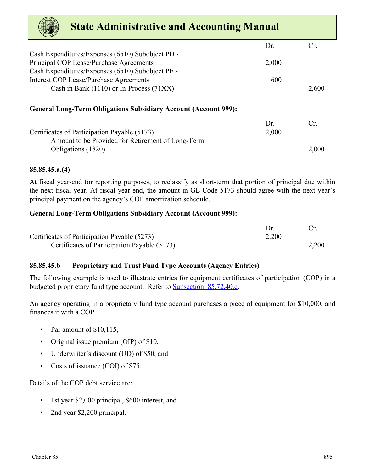| <b>State Administrative and Accounting Manual</b>                      |       |       |
|------------------------------------------------------------------------|-------|-------|
|                                                                        | Dr.   | Cr.   |
| Cash Expenditures/Expenses (6510) Subobject PD -                       |       |       |
| Principal COP Lease/Purchase Agreements                                | 2,000 |       |
| Cash Expenditures/Expenses (6510) Subobject PE -                       |       |       |
| <b>Interest COP Lease/Purchase Agreements</b>                          | 600   |       |
| Cash in Bank $(1110)$ or In-Process $(71XX)$                           |       | 2,600 |
| <b>General Long-Term Obligations Subsidiary Account (Account 999):</b> |       |       |
|                                                                        | Dr.   | Cr.   |
| Certificates of Participation Payable (5173)                           | 2,000 |       |
| Amount to be Provided for Retirement of Long-Term                      |       |       |
| Obligations (1820)                                                     |       | 2,000 |

### **85.85.45.a.(4)**

At fiscal year-end for reporting purposes, to reclassify as short-term that portion of principal due within the next fiscal year. At fiscal year-end, the amount in GL Code 5173 should agree with the next year's principal payment on the agency's COP amortization schedule.

### **General Long-Term Obligations Subsidiary Account (Account 999):**

| Certificates of Participation Payable (5273) | 2,200 |       |
|----------------------------------------------|-------|-------|
| Certificates of Participation Payable (5173) |       | 2,200 |

### **85.85.45.b Proprietary and Trust Fund Type Accounts (Agency Entries)**

The following example is used to illustrate entries for equipment certificates of participation (COP) in a budgeted proprietary fund type account. Refer to Subsection 85.72.40.c.

An agency operating in a proprietary fund type account purchases a piece of equipment for \$10,000, and finances it with a COP.

- Par amount of \$10,115,
- Original issue premium (OIP) of \$10,
- Underwriter's discount (UD) of \$50, and
- Costs of issuance (COI) of \$75.

Details of the COP debt service are:

- 1st year \$2,000 principal, \$600 interest, and
- 2nd year \$2,200 principal.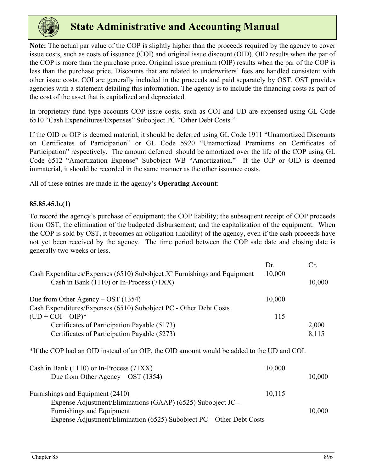

**Note:** The actual par value of the COP is slightly higher than the proceeds required by the agency to cover issue costs, such as costs of issuance (COI) and original issue discount (OID). OID results when the par of the COP is more than the purchase price. Original issue premium (OIP) results when the par of the COP is less than the purchase price. Discounts that are related to underwriters' fees are handled consistent with other issue costs. COI are generally included in the proceeds and paid separately by OST. OST provides agencies with a statement detailing this information. The agency is to include the financing costs as part of the cost of the asset that is capitalized and depreciated.

In proprietary fund type accounts COP issue costs, such as COI and UD are expensed using GL Code 6510 "Cash Expenditures/Expenses" Subobject PC "Other Debt Costs."

If the OID or OIP is deemed material, it should be deferred using GL Code 1911 "Unamortized Discounts on Certificates of Participation" or GL Code 5920 "Unamortized Premiums on Certificates of Participation" respectively. The amount deferred should be amortized over the life of the COP using GL Code 6512 "Amortization Expense" Subobject WB "Amortization." If the OIP or OID is deemed immaterial, it should be recorded in the same manner as the other issuance costs.

All of these entries are made in the agency's **Operating Account**:

### **85.85.45.b.(1)**

To record the agency's purchase of equipment; the COP liability; the subsequent receipt of COP proceeds from OST; the elimination of the budgeted disbursement; and the capitalization of the equipment. When the COP is sold by OST, it becomes an obligation (liability) of the agency, even if the cash proceeds have not yet been received by the agency. The time period between the COP sale date and closing date is generally two weeks or less.

| Cash Expenditures/Expenses (6510) Subobject JC Furnishings and Equipment | Dr.<br>10,000 | Cr.    |
|--------------------------------------------------------------------------|---------------|--------|
| Cash in Bank $(1110)$ or In-Process $(71XX)$                             |               | 10,000 |
| Due from Other Agency – OST $(1354)$                                     | 10,000        |        |
| Cash Expenditures/Expenses (6510) Subobject PC - Other Debt Costs        |               |        |
| $(UD + COI - OIP)*$                                                      | 115           |        |
| Certificates of Participation Payable (5173)                             |               | 2,000  |
| Certificates of Participation Payable (5273)                             |               | 8,115  |

\*If the COP had an OID instead of an OIP, the OID amount would be added to the UD and COI.

| Cash in Bank $(1110)$ or In-Process $(71XX)$                          | 10,000 |        |
|-----------------------------------------------------------------------|--------|--------|
| Due from Other Agency – OST $(1354)$                                  |        | 10,000 |
| Furnishings and Equipment (2410)                                      | 10,115 |        |
| Expense Adjustment/Eliminations (GAAP) (6525) Subobject JC -          |        |        |
| Furnishings and Equipment                                             |        | 10,000 |
| Expense Adjustment/Elimination (6525) Subobject PC – Other Debt Costs |        |        |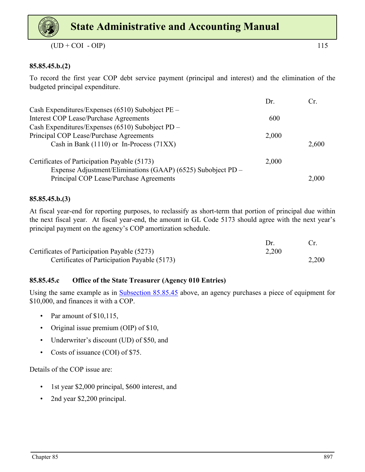

 $(UD + COI - OIP)$  115

### **85.85.45.b.(2)**

To record the first year COP debt service payment (principal and interest) and the elimination of the budgeted principal expenditure.

|                                                                                                              | Dr.   |       |
|--------------------------------------------------------------------------------------------------------------|-------|-------|
| Cash Expenditures/Expenses (6510) Subobject PE –                                                             |       |       |
| <b>Interest COP Lease/Purchase Agreements</b>                                                                | 600   |       |
| Cash Expenditures/Expenses (6510) Subobject PD -                                                             |       |       |
| Principal COP Lease/Purchase Agreements                                                                      | 2,000 |       |
| Cash in Bank $(1110)$ or In-Process $(71XX)$                                                                 |       | 2,600 |
| Certificates of Participation Payable (5173)<br>Expense Adjustment/Eliminations (GAAP) (6525) Subobject PD - | 2,000 |       |
| Principal COP Lease/Purchase Agreements                                                                      |       | 2,000 |

### **85.85.45.b.(3)**

At fiscal year-end for reporting purposes, to reclassify as short-term that portion of principal due within the next fiscal year. At fiscal year-end, the amount in GL Code 5173 should agree with the next year's principal payment on the agency's COP amortization schedule.

| Certificates of Participation Payable (5273) | 2,200 |       |
|----------------------------------------------|-------|-------|
| Certificates of Participation Payable (5173) |       | 2,200 |

### **85.85.45.c Office of the State Treasurer (Agency 010 Entries)**

Using the same example as in [Subsection 85.85.45](#page-18-0) above, an agency purchases a piece of equipment for \$10,000, and finances it with a COP.

- Par amount of \$10,115,
- Original issue premium (OIP) of \$10,
- Underwriter's discount (UD) of \$50, and
- Costs of issuance (COI) of \$75.

Details of the COP issue are:

- 1st year \$2,000 principal, \$600 interest, and
- 2nd year \$2,200 principal.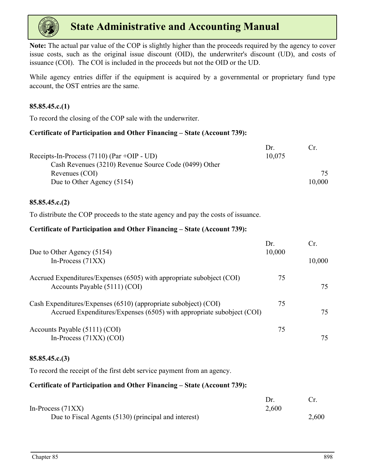

**Note:** The actual par value of the COP is slightly higher than the proceeds required by the agency to cover issue costs, such as the original issue discount (OID), the underwriter's discount (UD), and costs of issuance (COI). The COI is included in the proceeds but not the OID or the UD.

While agency entries differ if the equipment is acquired by a governmental or proprietary fund type account, the OST entries are the same.

### **85.85.45.c.(1)**

To record the closing of the COP sale with the underwriter.

### **Certificate of Participation and Other Financing – State (Account 739):**

|                                                       | Dr     |        |
|-------------------------------------------------------|--------|--------|
| Receipts-In-Process $(7110)$ (Par +OIP - UD)          | 10,075 |        |
| Cash Revenues (3210) Revenue Source Code (0499) Other |        |        |
| Revenues (COI)                                        |        | 75     |
| Due to Other Agency (5154)                            |        | 10,000 |

### **85.85.45.c.(2)**

To distribute the COP proceeds to the state agency and pay the costs of issuance.

### **Certificate of Participation and Other Financing – State (Account 739):**

|    | Cr.           |
|----|---------------|
|    |               |
|    | 10,000        |
| 75 |               |
|    | 75            |
| 75 |               |
|    | 75            |
| 75 |               |
|    | 75            |
|    | Dr.<br>10,000 |

### **85.85.45.c.(3)**

To record the receipt of the first debt service payment from an agency.

### **Certificate of Participation and Other Financing – State (Account 739):**

| In-Process $(71XX)$                                  | 2,600 |       |
|------------------------------------------------------|-------|-------|
| Due to Fiscal Agents (5130) (principal and interest) |       | 2,600 |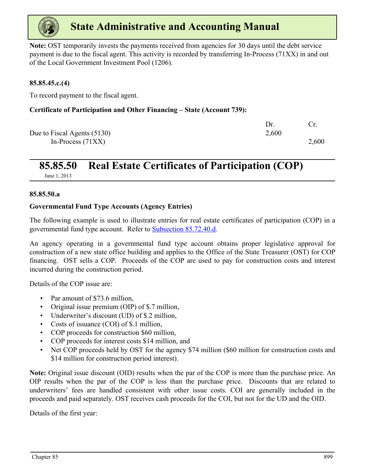<span id="page-25-0"></span>

**Note:** OST temporarily invests the payments received from agencies for 30 days until the debt service payment is due to the fiscal agent. This activity is recorded by transferring In-Process (71XX) in and out of the Local Government Investment Pool (1206).

### **85.85.45.c.(4)**

To record payment to the fiscal agent.

### **Certificate of Participation and Other Financing – State (Account 739):**

|                             | Dr.   |       |
|-----------------------------|-------|-------|
| Due to Fiscal Agents (5130) | 2,600 |       |
| In-Process $(71XX)$         |       | 2,600 |

### **85.85.50 Real Estate Certificates of Participation (COP)**

June 1, 2013

### **85.85.50.a**

### **Governmental Fund Type Accounts (Agency Entries)**

The following example is used to illustrate entries for real estate certificates of participation (COP) in a governmental fund type account. Refer to Subsection 85.72.40.d.

An agency operating in a governmental fund type account obtains proper legislative approval for construction of a new state office building and applies to the Office of the State Treasurer (OST) for COP financing. OST sells a COP. Proceeds of the COP are used to pay for construction costs and interest incurred during the construction period.

Details of the COP issue are:

- Par amount of \$73.6 million,
- Original issue premium (OIP) of \$.7 million,
- Underwriter's discount (UD) of \$.2 million,
- Costs of issuance (COI) of \$.1 million,
- COP proceeds for construction \$60 million,
- COP proceeds for interest costs \$14 million, and
- Net COP proceeds held by OST for the agency \$74 million (\$60 million for construction costs and \$14 million for construction period interest).

**Note:** Original issue discount (OID) results when the par of the COP is more than the purchase price. An OIP results when the par of the COP is less than the purchase price. Discounts that are related to underwriters' fees are handled consistent with other issue costs. COI are generally included in the proceeds and paid separately. OST receives cash proceeds for the COI, but not for the UD and the OID.

Details of the first year: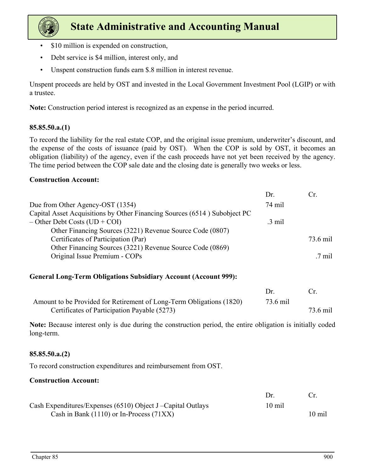

- \$10 million is expended on construction,
- Debt service is \$4 million, interest only, and
- Unspent construction funds earn \$.8 million in interest revenue.

Unspent proceeds are held by OST and invested in the Local Government Investment Pool (LGIP) or with a trustee.

**Note:** Construction period interest is recognized as an expense in the period incurred.

### **85.85.50.a.(1)**

To record the liability for the real estate COP, and the original issue premium, underwriter's discount, and the expense of the costs of issuance (paid by OST). When the COP is sold by OST, it becomes an obligation (liability) of the agency, even if the cash proceeds have not yet been received by the agency. The time period between the COP sale date and the closing date is generally two weeks or less.

### **Construction Account:**

|                                                                           | Dr.              |                |
|---------------------------------------------------------------------------|------------------|----------------|
| Due from Other Agency-OST (1354)                                          | 74 mil           |                |
| Capital Asset Acquisitions by Other Financing Sources (6514) Subobject PC |                  |                |
| $-$ Other Debt Costs (UD + COI)                                           | $.3 \text{ mil}$ |                |
| Other Financing Sources (3221) Revenue Source Code (0807)                 |                  |                |
| Certificates of Participation (Par)                                       |                  | 73.6 mil       |
| Other Financing Sources (3221) Revenue Source Code (0869)                 |                  |                |
| Original Issue Premium - COPs                                             |                  | $\sqrt{7}$ mil |
|                                                                           |                  |                |

### **General Long-Term Obligations Subsidiary Account (Account 999):**

|                                                                      | $1$ r    | Cr.      |
|----------------------------------------------------------------------|----------|----------|
| Amount to be Provided for Retirement of Long-Term Obligations (1820) | 73.6 mil |          |
| Certificates of Participation Payable (5273)                         |          | 73.6 mil |

**Note:** Because interest only is due during the construction period, the entire obligation is initially coded long-term.

### **85.85.50.a.(2)**

To record construction expenditures and reimbursement from OST.

### **Construction Account:**

|                                                              | Dr.              |                  |
|--------------------------------------------------------------|------------------|------------------|
| Cash Expenditures/Expenses (6510) Object J – Capital Outlays | $10 \text{ mil}$ |                  |
| Cash in Bank $(1110)$ or In-Process $(71XX)$                 |                  | $10 \text{ mil}$ |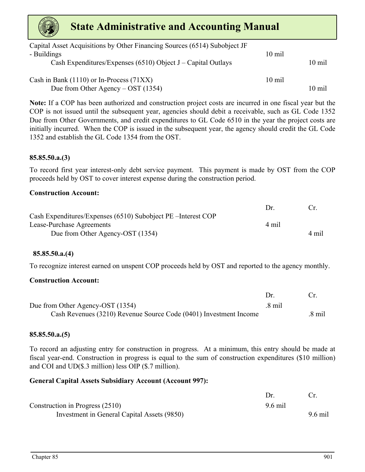| Capital Asset Acquisitions by Other Financing Sources (6514) Subobject JF<br>- Buildings | $10 \text{ mil}$ |                  |
|------------------------------------------------------------------------------------------|------------------|------------------|
| Cash Expenditures/Expenses $(6510)$ Object J – Capital Outlays                           |                  | $10 \text{ mil}$ |
| Cash in Bank $(1110)$ or In-Process $(71XX)$                                             | $10 \text{ mil}$ |                  |
|                                                                                          |                  |                  |
| Due from Other Agency – OST $(1354)$                                                     |                  | $10 \text{ mil}$ |

**Note:** If a COP has been authorized and construction project costs are incurred in one fiscal year but the COP is not issued until the subsequent year, agencies should debit a receivable, such as GL Code 1352 Due from Other Governments, and credit expenditures to GL Code 6510 in the year the project costs are initially incurred. When the COP is issued in the subsequent year, the agency should credit the GL Code 1352 and establish the GL Code 1354 from the OST.

### **85.85.50.a.(3)**

To record first year interest-only debt service payment. This payment is made by OST from the COP proceeds held by OST to cover interest expense during the construction period.

### **Construction Account:**

|                                                               | $1$ r | Cr.   |
|---------------------------------------------------------------|-------|-------|
| Cash Expenditures/Expenses (6510) Subobject PE – Interest COP |       |       |
| Lease-Purchase Agreements                                     | 4 mil |       |
| Due from Other Agency-OST (1354)                              |       | 4 mil |

### **85.85.50.a.(4)**

To recognize interest earned on unspent COP proceeds held by OST and reported to the agency monthly.

### **Construction Account:**

| Due from Other Agency-OST (1354)                                  | $.8 \text{ mil}$ |        |
|-------------------------------------------------------------------|------------------|--------|
| Cash Revenues (3210) Revenue Source Code (0401) Investment Income |                  | .8 mil |

#### **85.85.50.a.(5)**

To record an adjusting entry for construction in progress. At a minimum, this entry should be made at fiscal year-end. Construction in progress is equal to the sum of construction expenditures (\$10 million) and COI and UD(\$.3 million) less OIP (\$.7 million).

### **General Capital Assets Subsidiary Account (Account 997):**

| Construction in Progress (2510)             | 9.6 mil |           |
|---------------------------------------------|---------|-----------|
| Investment in General Capital Assets (9850) |         | $9.6$ mil |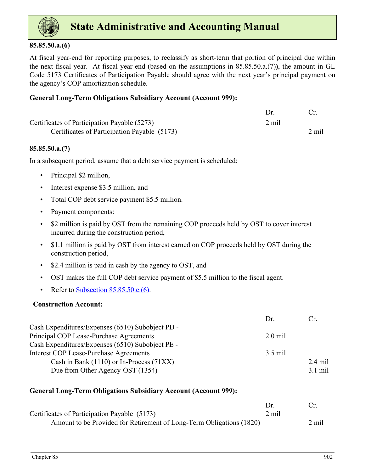

### **85.85.50.a.(6)**

At fiscal year-end for reporting purposes, to reclassify as short-term that portion of principal due within the next fiscal year. At fiscal year-end (based on the assumptions in 85.85.50.a.(7)**)**, the amount in GL Code 5173 Certificates of Participation Payable should agree with the next year's principal payment on the agency's COP amortization schedule.

### **General Long-Term Obligations Subsidiary Account (Account 999):**

| Certificates of Participation Payable (5273) | 2 mil |       |
|----------------------------------------------|-------|-------|
| Certificates of Participation Payable (5173) |       | 2 mil |

### **85.85.50.a.(7)**

In a subsequent period, assume that a debt service payment is scheduled:

- Principal \$2 million,
- Interest expense \$3.5 million, and
- Total COP debt service payment \$5.5 million.
- Payment components:
- \$2 million is paid by OST from the remaining COP proceeds held by OST to cover interest incurred during the construction period,
- \$1.1 million is paid by OST from interest earned on COP proceeds held by OST during the construction period,
- \$2.4 million is paid in cash by the agency to OST, and
- OST makes the full COP debt service payment of \$5.5 million to the fiscal agent.
- Refer to Subsection  $85.85.50.c.(6)$ .

### **Construction Account:**

| Dr.                                                        | €r        |
|------------------------------------------------------------|-----------|
| Cash Expenditures/Expenses (6510) Subobject PD -           |           |
| Principal COP Lease-Purchase Agreements<br>$2.0$ mil       |           |
| Cash Expenditures/Expenses (6510) Subobject PE -           |           |
| <b>Interest COP Lease-Purchase Agreements</b><br>$3.5$ mil |           |
| Cash in Bank $(1110)$ or In-Process $(71XX)$               | $2.4$ mil |
| Due from Other Agency-OST (1354)                           | $3.1$ mil |

### **General Long-Term Obligations Subsidiary Account (Account 999):**

| Certificates of Participation Payable (5173)                         | 2 mil |       |
|----------------------------------------------------------------------|-------|-------|
| Amount to be Provided for Retirement of Long-Term Obligations (1820) |       | 2 mil |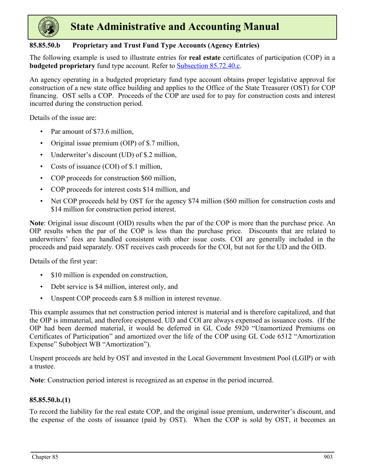

### **85.85.50.b Proprietary and Trust Fund Type Accounts (Agency Entries)**

The following example is used to illustrate entries for **real estate** certificates of participation (COP) in a **budgeted proprietary** fund type account. Refer to Subsection 85.72.40.c.

An agency operating in a budgeted proprietary fund type account obtains proper legislative approval for construction of a new state office building and applies to the Office of the State Treasurer (OST) for COP financing. OST sells a COP. Proceeds of the COP are used for to pay for construction costs and interest incurred during the construction period.

Details of the issue are:

- Par amount of \$73.6 million,
- Original issue premium (OIP) of \$.7 million,
- Underwriter's discount (UD) of \$.2 million,
- Costs of issuance (COI) of \$.1 million,
- COP proceeds for construction \$60 million,
- COP proceeds for interest costs \$14 million, and
- Net COP proceeds held by OST for the agency \$74 million (\$60 million for construction costs and \$14 million for construction period interest.

**Note**: Original issue discount (OID) results when the par of the COP is more than the purchase price. An OIP results when the par of the COP is less than the purchase price. Discounts that are related to underwriters' fees are handled consistent with other issue costs. COI are generally included in the proceeds and paid separately. OST receives cash proceeds for the COI, but not for the UD and the OID.

Details of the first year:

- \$10 million is expended on construction,
- Debt service is \$4 million, interest only, and
- Unspent COP proceeds earn \$.8 million in interest revenue.

This example assumes that net construction period interest is material and is therefore capitalized, and that the OIP is immaterial, and therefore expensed. UD and COI are always expensed as issuance costs. (If the OIP had been deemed material, it would be deferred in GL Code 5920 "Unamortized Premiums on Certificates of Participation" and amortized over the life of the COP using GL Code 6512 "Amortization Expense" Subobject WB "Amortization").

Unspent proceeds are held by OST and invested in the Local Government Investment Pool (LGIP) or with a trustee.

**Note**: Construction period interest is recognized as an expense in the period incurred.

### **85.85.50.b.(1)**

To record the liability for the real estate COP, and the original issue premium, underwriter's discount, and the expense of the costs of issuance (paid by OST). When the COP is sold by OST, it becomes an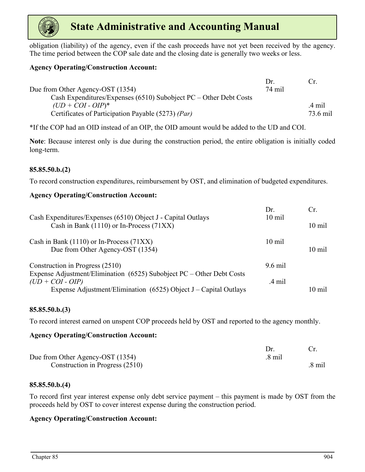

obligation (liability) of the agency, even if the cash proceeds have not yet been received by the agency. The time period between the COP sale date and the closing date is generally two weeks or less.

### **Agency Operating/Construction Account:**

|                                                                     | $1$ r  | Cr.      |
|---------------------------------------------------------------------|--------|----------|
| Due from Other Agency-OST (1354)                                    | 74 mil |          |
| Cash Expenditures/Expenses (6510) Subobject $PC$ – Other Debt Costs |        |          |
| $(UD + COI - OIP)^*$                                                |        | .4 mil   |
| Certificates of Participation Payable (5273) (Par)                  |        | 73.6 mil |

\*If the COP had an OID instead of an OIP, the OID amount would be added to the UD and COI.

**Note**: Because interest only is due during the construction period, the entire obligation is initially coded long-term.

### **85.85.50.b.(2)**

To record construction expenditures, reimbursement by OST, and elimination of budgeted expenditures.

### **Agency Operating/Construction Account:**

| Cash Expenditures/Expenses (6510) Object J - Capital Outlays<br>Cash in Bank (1110) or In-Process (71XX)                                                          | Dr.<br>$10 \text{ mil}$ | Cr<br>$10 \text{ mil}$ |
|-------------------------------------------------------------------------------------------------------------------------------------------------------------------|-------------------------|------------------------|
| Cash in Bank $(1110)$ or In-Process $(71XX)$<br>Due from Other Agency-OST (1354)                                                                                  | $10 \text{ mil}$        | $10 \text{ mil}$       |
| Construction in Progress (2510)                                                                                                                                   | $9.6$ mil               |                        |
| Expense Adjustment/Elimination $(6525)$ Subobject PC – Other Debt Costs<br>$(UD + COI - OIP)$<br>Expense Adjustment/Elimination (6525) Object J – Capital Outlays | .4 mil                  | $10 \text{ mil}$       |
|                                                                                                                                                                   |                         |                        |

#### **85.85.50.b.(3)**

To record interest earned on unspent COP proceeds held by OST and reported to the agency monthly.

### **Agency Operating/Construction Account:**

| Due from Other Agency-OST (1354) | .8 mil |        |
|----------------------------------|--------|--------|
| Construction in Progress (2510)  |        | .8 mil |

### **85.85.50.b.(4)**

To record first year interest expense only debt service payment – this payment is made by OST from the proceeds held by OST to cover interest expense during the construction period.

#### **Agency Operating/Construction Account:**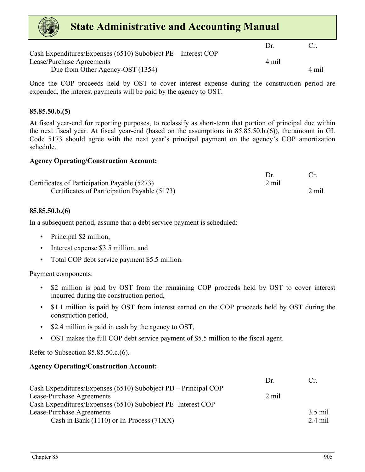| <b>State Administrative and Accounting Manual</b> |                                                               |       |       |
|---------------------------------------------------|---------------------------------------------------------------|-------|-------|
|                                                   | Cash Expenditures/Expenses (6510) Subobject PE – Interest COP | Dr    | (`r   |
| Lease/Purchase Agreements                         |                                                               | 4 mil |       |
|                                                   | Due from Other Agency-OST (1354)                              |       | 4 mil |

Once the COP proceeds held by OST to cover interest expense during the construction period are expended, the interest payments will be paid by the agency to OST.

### **85.85.50.b.(5)**

At fiscal year-end for reporting purposes, to reclassify as short-term that portion of principal due within the next fiscal year. At fiscal year-end (based on the assumptions in 85.85.50.b.(6)), the amount in GL Code 5173 should agree with the next year's principal payment on the agency's COP amortization schedule.

#### **Agency Operating/Construction Account:**

| Certificates of Participation Payable (5273) | 2 mil |       |
|----------------------------------------------|-------|-------|
| Certificates of Participation Payable (5173) |       | 2 mil |

#### **85.85.50.b.(6)**

In a subsequent period, assume that a debt service payment is scheduled:

- Principal \$2 million,
- Interest expense \$3.5 million, and
- Total COP debt service payment \$5.5 million.

Payment components:

- \$2 million is paid by OST from the remaining COP proceeds held by OST to cover interest incurred during the construction period,
- \$1.1 million is paid by OST from interest earned on the COP proceeds held by OST during the construction period,
- \$2.4 million is paid in cash by the agency to OST,
- OST makes the full COP debt service payment of \$5.5 million to the fiscal agent.

Refer to Subsection 85.85.50.c.(6).

#### **Agency Operating/Construction Account:**

|                                                                | Dr    | Cr      |
|----------------------------------------------------------------|-------|---------|
| Cash Expenditures/Expenses (6510) Subobject PD – Principal COP |       |         |
| Lease-Purchase Agreements                                      | 2 mil |         |
| Cash Expenditures/Expenses (6510) Subobject PE - Interest COP  |       |         |
| <b>Lease-Purchase Agreements</b>                               |       | 3.5 mil |
| Cash in Bank $(1110)$ or In-Process $(71XX)$                   |       | 2.4 mil |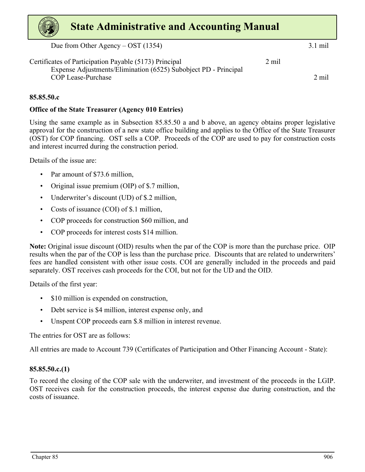Due from Other Agency – OST (1354) 3.1 mil

Certificates of Participation Payable (5173) Principal 2 mil Expense Adjustments/Elimination (6525) Subobject PD - Principal COP Lease-Purchase 2 mil

**85.85.50.c**

### **Office of the State Treasurer (Agency 010 Entries)**

Using the same example as in Subsection 85.85.50 a and b above, an agency obtains proper legislative approval for the construction of a new state office building and applies to the Office of the State Treasurer (OST) for COP financing. OST sells a COP. Proceeds of the COP are used to pay for construction costs and interest incurred during the construction period.

Details of the issue are:

- Par amount of \$73.6 million,
- Original issue premium (OIP) of \$.7 million,
- Underwriter's discount (UD) of \$.2 million,
- Costs of issuance (COI) of \$.1 million,
- COP proceeds for construction \$60 million, and
- COP proceeds for interest costs \$14 million.

**Note:** Original issue discount (OID) results when the par of the COP is more than the purchase price. OIP results when the par of the COP is less than the purchase price. Discounts that are related to underwriters' fees are handled consistent with other issue costs. COI are generally included in the proceeds and paid separately. OST receives cash proceeds for the COI, but not for the UD and the OID.

Details of the first year:

- \$10 million is expended on construction,
- Debt service is \$4 million, interest expense only, and
- Unspent COP proceeds earn \$.8 million in interest revenue.

The entries for OST are as follows:

All entries are made to Account 739 (Certificates of Participation and Other Financing Account - State):

### **85.85.50.c.(1)**

To record the closing of the COP sale with the underwriter, and investment of the proceeds in the LGIP. OST receives cash for the construction proceeds, the interest expense due during construction, and the costs of issuance.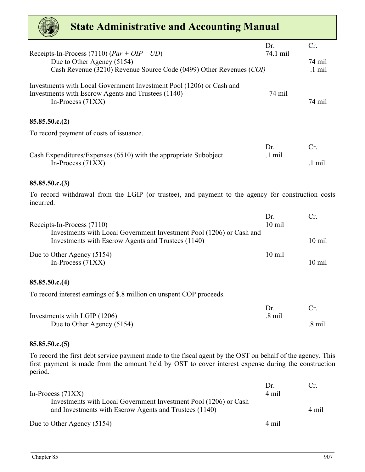

| Receipts-In-Process (7110) $(Par + OIP - UD)$                                                                                                     | Dr.<br>74.1 mil         | Cr.                        |
|---------------------------------------------------------------------------------------------------------------------------------------------------|-------------------------|----------------------------|
| Due to Other Agency (5154)<br>Cash Revenue (3210) Revenue Source Code (0499) Other Revenues (COI)                                                 |                         | 74 mil<br>$.1 \text{ mil}$ |
| Investments with Local Government Investment Pool (1206) or Cash and<br>Investments with Escrow Agents and Trustees (1140)<br>In-Process $(71XX)$ | 74 mil                  | 74 mil                     |
| 85.85.50.c.(2)                                                                                                                                    |                         |                            |
| To record payment of costs of issuance.                                                                                                           |                         |                            |
| Cash Expenditures/Expenses (6510) with the appropriate Subobject                                                                                  | Dr.<br>$.1 \text{ mil}$ | Cr.                        |
| In-Process $(71XX)$                                                                                                                               |                         | $.1 \text{ mil}$           |
| 85.85.50.c.(3)                                                                                                                                    |                         |                            |
| To record withdrawal from the LGIP (or trustee), and payment to the agency for construction costs<br>incurred.                                    |                         |                            |
| Receipts-In-Process (7110)                                                                                                                        | Dr.<br>10 mil           | Cr.                        |
| Investments with Local Government Investment Pool (1206) or Cash and<br>Investments with Escrow Agents and Trustees (1140)                        |                         | 10 mil                     |
| Due to Other Agency (5154)<br>In-Process $(71XX)$                                                                                                 | $10$ mil                | 10 mil                     |
| 85.85.50.c.(4)                                                                                                                                    |                         |                            |
| To record interest earnings of \$.8 million on unspent COP proceeds.                                                                              |                         |                            |
| Investments with LGIP (1206)                                                                                                                      | Dr.<br>$.8$ mil         | Cr.                        |
| Due to Other Agency (5154)                                                                                                                        |                         | $.8 \text{ mil}$           |

### **85.85.50.c.(5)**

To record the first debt service payment made to the fiscal agent by the OST on behalf of the agency. This first payment is made from the amount held by OST to cover interest expense during the construction period.

|                                                                                                                            | Dr    | ( `r  |
|----------------------------------------------------------------------------------------------------------------------------|-------|-------|
| In-Process $(71XX)$                                                                                                        | 4 mil |       |
| Investments with Local Government Investment Pool (1206) or Cash<br>and Investments with Escrow Agents and Trustees (1140) |       | 4 mil |
| Due to Other Agency (5154)                                                                                                 | 4 mil |       |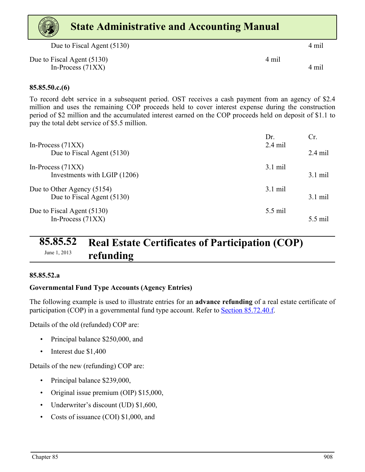# <span id="page-34-0"></span>Due to Fiscal Agent (5130) 4 mil **State Administrative and Accounting Manual**

| Due to Fiscal Agent (5130) | 4 mil |
|----------------------------|-------|
| In-Process $(71XX)$        | 4 mil |

### **85.85.50.c.(6)**

To record debt service in a subsequent period. OST receives a cash payment from an agency of \$2.4 million and uses the remaining COP proceeds held to cover interest expense during the construction period of \$2 million and the accumulated interest earned on the COP proceeds held on deposit of \$1.1 to pay the total debt service of \$5.5 million.

| In-Process $(71XX)$          | Dr.<br>$2.4$ mil  | Cr                |
|------------------------------|-------------------|-------------------|
| Due to Fiscal Agent (5130)   |                   | $2.4$ mil         |
| In-Process $(71XX)$          | $3.1 \text{ mil}$ |                   |
| Investments with LGIP (1206) |                   | $3.1 \text{ mil}$ |
| Due to Other Agency (5154)   | $3.1$ mil         |                   |
| Due to Fiscal Agent (5130)   |                   | $3.1 \text{ mil}$ |
| Due to Fiscal Agent (5130)   | 5.5 mil           |                   |
| In-Process $(71XX)$          |                   | 5.5 mil           |

### **85.85.52 Real Estate Certificates of Participation (COP)**  June 1, 2013 **refunding**

### **85.85.52.a**

### **Governmental Fund Type Accounts (Agency Entries)**

The following example is used to illustrate entries for an **advance refunding** of a real estate certificate of participation (COP) in a governmental fund type account. Refer to Section 85.72.40.f.

Details of the old (refunded) COP are:

- Principal balance \$250,000, and
- Interest due \$1,400

Details of the new (refunding) COP are:

- Principal balance \$239,000,
- Original issue premium (OIP) \$15,000,
- Underwriter's discount (UD) \$1,600,
- Costs of issuance (COI) \$1,000, and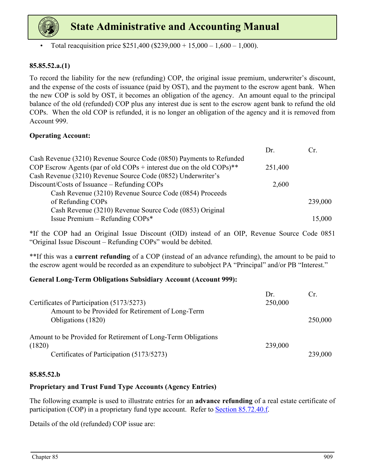

Total reacquisition price  $$251,400$  ( $$239,000 + 15,000 - 1,600 - 1,000$ ).

### **85.85.52.a.(1)**

To record the liability for the new (refunding) COP, the original issue premium, underwriter's discount, and the expense of the costs of issuance (paid by OST), and the payment to the escrow agent bank. When the new COP is sold by OST, it becomes an obligation of the agency. An amount equal to the principal balance of the old (refunded) COP plus any interest due is sent to the escrow agent bank to refund the old COPs. When the old COP is refunded, it is no longer an obligation of the agency and it is removed from Account 999.

### **Operating Account:**

|                                                                                  | Dr.     | Cr.     |
|----------------------------------------------------------------------------------|---------|---------|
| Cash Revenue (3210) Revenue Source Code (0850) Payments to Refunded              |         |         |
| COP Escrow Agents (par of old COPs + interest due on the old COPs) <sup>**</sup> | 251,400 |         |
| Cash Revenue (3210) Revenue Source Code (0852) Underwriter's                     |         |         |
| Discount/Costs of Issuance – Refunding COPs                                      | 2,600   |         |
| Cash Revenue (3210) Revenue Source Code (0854) Proceeds                          |         |         |
| of Refunding COPs                                                                |         | 239,000 |
| Cash Revenue (3210) Revenue Source Code (0853) Original                          |         |         |
| Issue Premium - Refunding COPs*                                                  |         | 15,000  |

\*If the COP had an Original Issue Discount (OID) instead of an OIP, Revenue Source Code 0851 "Original Issue Discount – Refunding COPs" would be debited.

\*\*If this was a **current refunding** of a COP (instead of an advance refunding), the amount to be paid to the escrow agent would be recorded as an expenditure to subobject PA "Principal" and/or PB "Interest."

### **General Long-Term Obligations Subsidiary Account (Account 999):**

| Certificates of Participation (5173/5273)<br>Amount to be Provided for Retirement of Long-Term | Dr.<br>250,000 | Cr.     |
|------------------------------------------------------------------------------------------------|----------------|---------|
| Obligations (1820)                                                                             |                | 250,000 |
| Amount to be Provided for Retirement of Long-Term Obligations<br>(1820)                        | 239,000        |         |
| Certificates of Participation (5173/5273)                                                      |                | 239,000 |

### **85.85.52.b**

### **Proprietary and Trust Fund Type Accounts (Agency Entries)**

The following example is used to illustrate entries for an **advance refunding** of a real estate certificate of participation (COP) in a proprietary fund type account. Refer to **Section 85.72.40.f.** 

Details of the old (refunded) COP issue are: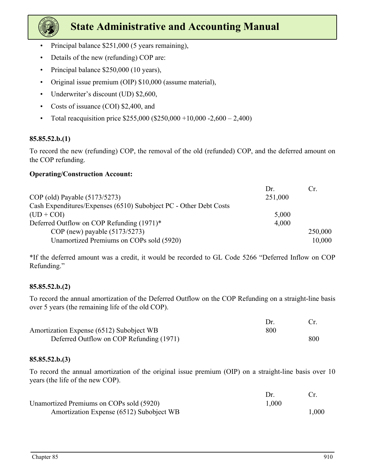

- Principal balance \$251,000 (5 years remaining),
- Details of the new (refunding) COP are:
- Principal balance \$250,000 (10 years),
- Original issue premium (OIP) \$10,000 (assume material),
- Underwriter's discount (UD) \$2,600,
- Costs of issuance (COI) \$2,400, and
- Total reacquisition price  $$255,000 ($250,000 +10,000 -2,600 -2,400)$

### **85.85.52.b.(1)**

To record the new (refunding) COP, the removal of the old (refunded) COP, and the deferred amount on the COP refunding.

### **Operating/Construction Account:**

|                                                                   | Dr.     | Cr.     |
|-------------------------------------------------------------------|---------|---------|
| COP (old) Payable (5173/5273)                                     | 251,000 |         |
| Cash Expenditures/Expenses (6510) Subobject PC - Other Debt Costs |         |         |
| $(UD + COI)$                                                      | 5,000   |         |
| Deferred Outflow on COP Refunding $(1971)^*$                      | 4,000   |         |
| COP (new) payable $(5173/5273)$                                   |         | 250,000 |
| Unamortized Premiums on COPs sold (5920)                          |         | 10,000  |

\*If the deferred amount was a credit, it would be recorded to GL Code 5266 "Deferred Inflow on COP Refunding."

### **85.85.52.b.(2)**

To record the annual amortization of the Deferred Outflow on the COP Refunding on a straight-line basis over 5 years (the remaining life of the old COP).

| Amortization Expense (6512) Subobject WB | 800 |     |
|------------------------------------------|-----|-----|
| Deferred Outflow on COP Refunding (1971) |     | 800 |

### **85.85.52.b.(3)**

To record the annual amortization of the original issue premium (OIP) on a straight-line basis over 10 years (the life of the new COP).

| Unamortized Premiums on COPs sold (5920) | 1,000 |      |
|------------------------------------------|-------|------|
| Amortization Expense (6512) Subobject WB |       | 000. |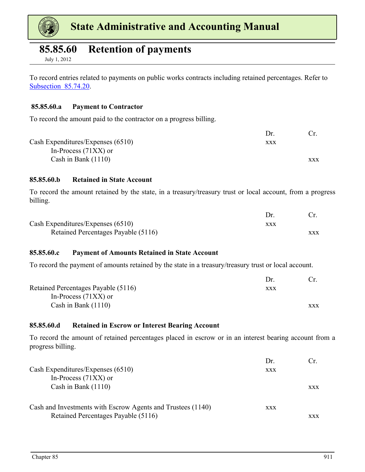<span id="page-37-0"></span>

### **85.85.60 Retention of payments**

July 1, 2012

To record entries related to payments on public works contracts including retained percentages. Refer to Subsection 85.74.20.

#### **85.85.60.a Payment to Contractor**

To record the amount paid to the contractor on a progress billing.

Cash Expenditures/Expenses (6510) xxx In-Process (71XX) or Cash in Bank (1110) xxx

#### **85.85.60.b Retained in State Account**

To record the amount retained by the state, in a treasury/treasury trust or local account, from a progress billing.

| Cash Expenditures/Expenses $(6510)$ | xxx |            |
|-------------------------------------|-----|------------|
| Retained Percentages Payable (5116) |     | <b>XXX</b> |

### **85.85.60.c Payment of Amounts Retained in State Account**

To record the payment of amounts retained by the state in a treasury/treasury trust or local account.

|                                     | Dr. |            |
|-------------------------------------|-----|------------|
| Retained Percentages Payable (5116) | XXX |            |
| In-Process $(71XX)$ or              |     |            |
| Cash in Bank $(1110)$               |     | <b>XXX</b> |

#### **85.85.60.d Retained in Escrow or Interest Bearing Account**

To record the amount of retained percentages placed in escrow or in an interest bearing account from a progress billing.

|                                                             | Dr.        | Cr.        |
|-------------------------------------------------------------|------------|------------|
| Cash Expenditures/Expenses (6510)                           | <b>XXX</b> |            |
| In-Process $(71XX)$ or                                      |            |            |
| Cash in Bank $(1110)$                                       |            | <b>XXX</b> |
|                                                             |            |            |
| Cash and Investments with Escrow Agents and Trustees (1140) | <b>XXX</b> |            |
| Retained Percentages Payable (5116)                         |            | xxx        |

Dr. Cr.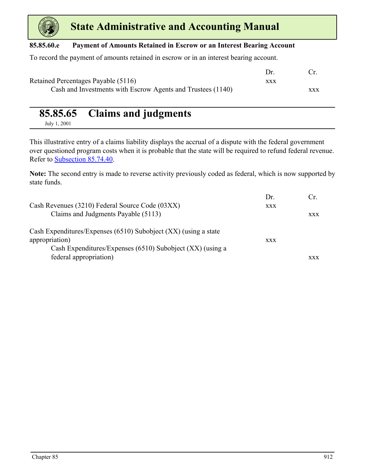<span id="page-38-0"></span>

### **85.85.60.e Payment of Amounts Retained in Escrow or an Interest Bearing Account**

To record the payment of amounts retained in escrow or in an interest bearing account.

|                                                             | Dr  |            |
|-------------------------------------------------------------|-----|------------|
| Retained Percentages Payable (5116)                         | XXX |            |
| Cash and Investments with Escrow Agents and Trustees (1140) |     | <b>XXX</b> |

### **85.85.65 Claims and judgments**

July 1, 2001

This illustrative entry of a claims liability displays the accrual of a dispute with the federal government over questioned program costs when it is probable that the state will be required to refund federal revenue. Refer to Subsection 85.74.40.

**Note:** The second entry is made to reverse activity previously coded as federal, which is now supported by state funds.

| Cash Revenues (3210) Federal Source Code (03XX)                                     | Dr.<br><b>XXX</b> |            |
|-------------------------------------------------------------------------------------|-------------------|------------|
| Claims and Judgments Payable (5113)                                                 |                   | <b>XXX</b> |
| Cash Expenditures/Expenses (6510) Subobject (XX) (using a state<br>appropriation)   | <b>XXX</b>        |            |
| Cash Expenditures/Expenses (6510) Subobject (XX) (using a<br>federal appropriation) |                   | <b>XXX</b> |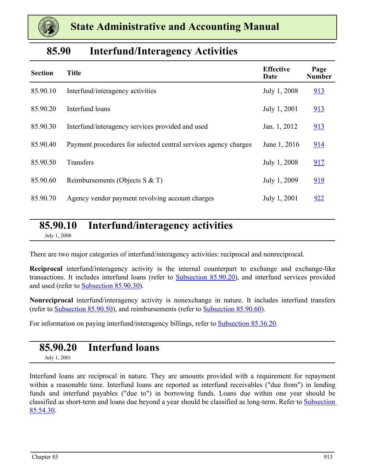

### **85.90 Interfund/Interagency Activities**

| <b>Section</b> | <b>Title</b>                                                    | <b>Effective</b><br>Date | Page<br><b>Number</b> |
|----------------|-----------------------------------------------------------------|--------------------------|-----------------------|
| 85.90.10       | Interfund/interagency activities                                | July 1, 2008             | 913                   |
| 85.90.20       | Interfund loans                                                 | July 1, 2001             | 913                   |
| 85.90.30       | Interfund/interagency services provided and used                | Jan. 1, 2012             | 913                   |
| 85.90.40       | Payment procedures for selected central services agency charges | June 1, 2016             | 914                   |
| 85.90.50       | Transfers                                                       | July 1, 2008             | 917                   |
| 85.90.60       | Reimbursements (Objects S $&$ T)                                | July 1, 2009             | 919                   |
| 85.90.70       | Agency vendor payment revolving account charges                 | July 1, 2001             | 922                   |

### **85.90.10 Interfund/interagency activities** July 1, 2008

There are two major categories of interfund/interagency activities: reciprocal and nonreciprocal.

**Reciprocal** interfund/interagency activity is the internal counterpart to exchange and exchange-like transactions. It includes interfund loans (refer to Subsection 85.90.20), and interfund services provided and used (refer to [Subsection 85.90.30](#page-40-0)).

**Nonreciprocal** interfund/interagency activity is nonexchange in nature. It includes interfund transfers (refer to [Subsection 85.90.50](#page-43-0)), and reimbursements (refer to [Subsection 85.90.60\)](#page-45-0).

For information on paying interfund/interagency billings, refer to **Subsection 85.36.20.** 

### **85.90.20 Interfund loans**

July 1, 2001

Interfund loans are reciprocal in nature. They are amounts provided with a requirement for repayment within a reasonable time. Interfund loans are reported as interfund receivables ("due from") in lending funds and interfund payables ("due to") in borrowing funds. Loans due within one year should be classified as short-term and loans due beyond a year should be classified as long-term. Refer to Subsection 85.54.30.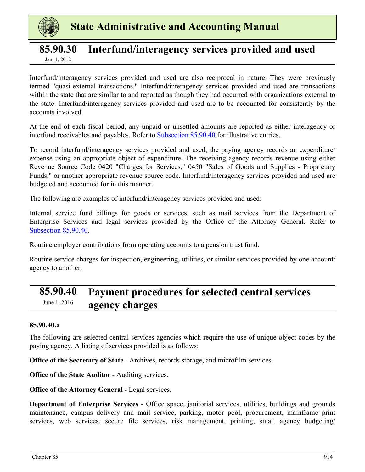<span id="page-40-0"></span>

### **85.90.30 Interfund/interagency services provided and used** Jan. 1, 2012

Interfund/interagency services provided and used are also reciprocal in nature. They were previously termed "quasi-external transactions." Interfund/interagency services provided and used are transactions within the state that are similar to and reported as though they had occurred with organizations external to the state. Interfund/interagency services provided and used are to be accounted for consistently by the accounts involved.

At the end of each fiscal period, any unpaid or unsettled amounts are reported as either interagency or interfund receivables and payables. Refer to Subsection 85.90.40 for illustrative entries.

To record interfund/interagency services provided and used, the paying agency records an expenditure/ expense using an appropriate object of expenditure. The receiving agency records revenue using either Revenue Source Code 0420 "Charges for Services," 0450 "Sales of Goods and Supplies - Proprietary Funds," or another appropriate revenue source code. Interfund/interagency services provided and used are budgeted and accounted for in this manner.

The following are examples of interfund/interagency services provided and used:

Internal service fund billings for goods or services, such as mail services from the Department of Enterprise Services and legal services provided by the Office of the Attorney General. Refer to Subsection 85.90.40.

Routine employer contributions from operating accounts to a pension trust fund.

Routine service charges for inspection, engineering, utilities, or similar services provided by one account/ agency to another.

### **85.90.40 Payment procedures for selected central services**  June 1, 2016 **agency charges**

### **85.90.40.a**

The following are selected central services agencies which require the use of unique object codes by the paying agency. A listing of services provided is as follows:

**Office of the Secretary of State** - Archives, records storage, and microfilm services.

**Office of the State Auditor** - Auditing services.

**Office of the Attorney General - Legal services.** 

**Department of Enterprise Services** - Office space, janitorial services, utilities, buildings and grounds maintenance, campus delivery and mail service, parking, motor pool, procurement, mainframe print services, web services, secure file services, risk management, printing, small agency budgeting/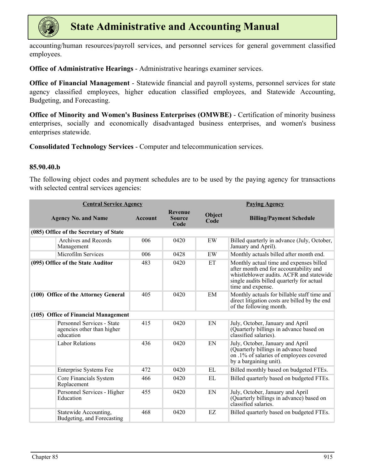

accounting/human resources/payroll services, and personnel services for general government classified employees.

**Office of Administrative Hearings** - Administrative hearings examiner services.

**Office of Financial Management** - Statewide financial and payroll systems, personnel services for state agency classified employees, higher education classified employees, and Statewide Accounting, Budgeting, and Forecasting.

**Office of Minority and Women's Business Enterprises (OMWBE)** - Certification of minority business enterprises, socially and economically disadvantaged business enterprises, and women's business enterprises statewide.

**Consolidated Technology Services** - Computer and telecommunication services.

#### **85.90.40.b**

The following object codes and payment schedules are to be used by the paying agency for transactions with selected central services agencies:

| <b>Central Service Agency</b> |                                                                       |                |                                         | <b>Paying Agency</b> |                                                                                                                                                                                                 |  |
|-------------------------------|-----------------------------------------------------------------------|----------------|-----------------------------------------|----------------------|-------------------------------------------------------------------------------------------------------------------------------------------------------------------------------------------------|--|
|                               | <b>Agency No. and Name</b>                                            | <b>Account</b> | <b>Revenue</b><br><b>Source</b><br>Code | Object<br>Code       | <b>Billing/Payment Schedule</b>                                                                                                                                                                 |  |
|                               | (085) Office of the Secretary of State                                |                |                                         |                      |                                                                                                                                                                                                 |  |
|                               | Archives and Records<br>Management                                    | 006            | 0420                                    | EW                   | Billed quarterly in advance (July, October,<br>January and April).                                                                                                                              |  |
|                               | Microfilm Services                                                    | 006            | 0428                                    | EW                   | Monthly actuals billed after month end.                                                                                                                                                         |  |
|                               | (095) Office of the State Auditor                                     | 483            | 0420                                    | ET                   | Monthly actual time and expenses billed<br>after month end for accountability and<br>whistleblower audits. ACFR and statewide<br>single audits billed quarterly for actual<br>time and expense. |  |
|                               | (100) Office of the Attorney General                                  | 405            | 0420                                    | EM                   | Monthly actuals for billable staff time and<br>direct litigation costs are billed by the end<br>of the following month.                                                                         |  |
|                               | (105) Office of Financial Management                                  |                |                                         |                      |                                                                                                                                                                                                 |  |
|                               | Personnel Services - State<br>agencies other than higher<br>education | 415            | 0420                                    | EN                   | July, October, January and April<br>(Quarterly billings in advance based on<br>classified salaries).                                                                                            |  |
|                               | <b>Labor Relations</b>                                                | 436            | 0420                                    | EN                   | July, October, January and April<br>(Quarterly billings in advance based<br>on .1% of salaries of employees covered<br>by a bargaining unit).                                                   |  |
|                               | <b>Enterprise Systems Fee</b>                                         | 472            | 0420                                    | EL.                  | Billed monthly based on budgeted FTEs.                                                                                                                                                          |  |
|                               | Core Financials System<br>Replacement                                 | 466            | 0420                                    | EL                   | Billed quarterly based on budgeted FTEs.                                                                                                                                                        |  |
|                               | Personnel Services - Higher<br>Education                              | 455            | 0420                                    | EN                   | July, October, January and April<br>(Quarterly billings in advance) based on<br>classified salaries.                                                                                            |  |
|                               | Statewide Accounting,<br>Budgeting, and Forecasting                   | 468            | 0420                                    | EZ                   | Billed quarterly based on budgeted FTEs.                                                                                                                                                        |  |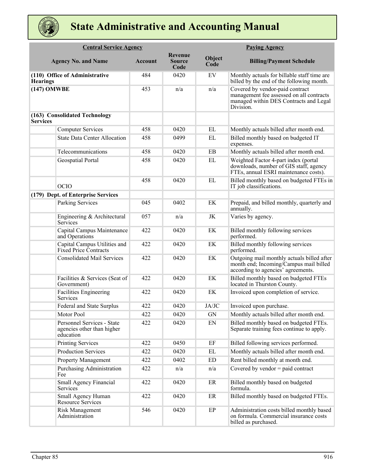

|                 | <b>Central Service Agency</b>                                         |                |                                  |                | <b>Paying Agency</b>                                                                                                               |
|-----------------|-----------------------------------------------------------------------|----------------|----------------------------------|----------------|------------------------------------------------------------------------------------------------------------------------------------|
|                 | <b>Agency No. and Name</b>                                            | <b>Account</b> | Revenue<br><b>Source</b><br>Code | Object<br>Code | <b>Billing/Payment Schedule</b>                                                                                                    |
| <b>Hearings</b> | (110) Office of Administrative                                        | 484            | 0420                             | EV             | Monthly actuals for billable staff time are<br>billed by the end of the following month.                                           |
| (147) OMWBE     |                                                                       | 453            | n/a                              | n/a            | Covered by vendor-paid contract<br>management fee assessed on all contracts<br>managed within DES Contracts and Legal<br>Division. |
| <b>Services</b> | (163) Consolidated Technology                                         |                |                                  |                |                                                                                                                                    |
|                 | <b>Computer Services</b>                                              | 458            | 0420                             | EL             | Monthly actuals billed after month end.                                                                                            |
|                 | <b>State Data Center Allocation</b>                                   | 458            | 0499                             | EL             | Billed monthly based on budgeted IT<br>expenses.                                                                                   |
|                 | Telecommunications                                                    | 458            | 0420                             | EB             | Monthly actuals billed after month end.                                                                                            |
|                 | Geospatial Portal                                                     | 458            | 0420                             | EL             | Weighted Factor 4-part index (portal<br>downloads, number of GIS staff, agency<br>FTEs, annual ESRI maintenance costs).            |
|                 | <b>OCIO</b>                                                           | 458            | 0420                             | EL             | Billed monthly based on budgeted FTEs in<br>IT job classifications.                                                                |
|                 | (179) Dept. of Enterprise Services                                    |                |                                  |                |                                                                                                                                    |
|                 | <b>Parking Services</b>                                               | 045            | 0402                             | EK             | Prepaid, and billed monthly, quarterly and<br>annually.                                                                            |
|                 | Engineering & Architectural<br>Services                               | 057            | n/a                              | JK             | Varies by agency.                                                                                                                  |
|                 | Capital Campus Maintenance<br>and Operations                          | 422            | 0420                             | EK             | Billed monthly following services<br>performed.                                                                                    |
|                 | Capital Campus Utilities and<br><b>Fixed Price Contracts</b>          | 422            | 0420                             | EK             | Billed monthly following services<br>performed.                                                                                    |
|                 | <b>Consolidated Mail Services</b>                                     | 422            | 0420                             | EK             | Outgoing mail monthly actuals billed after<br>month end; Incoming/Campus mail billed<br>according to agencies' agreements.         |
|                 | Facilities & Services (Seat of<br>Government)                         | 422            | 0420                             | EK             | Billed monthly based on budgeted FTEs<br>located in Thurston County.                                                               |
|                 | Facilities Engineering<br>Services                                    | 422            | 0420                             | EK             | Invoiced upon completion of service.                                                                                               |
|                 | Federal and State Surplus                                             | 422            | 0420                             | JA/JC          | Invoiced upon purchase.                                                                                                            |
|                 | Motor Pool                                                            | 422            | 0420                             | GN             | Monthly actuals billed after month end.                                                                                            |
|                 | Personnel Services - State<br>agencies other than higher<br>education | 422            | 0420                             | EN             | Billed monthly based on budgeted FTEs.<br>Separate training fees continue to apply.                                                |
|                 | <b>Printing Services</b>                                              | 422            | 0450                             | $\rm EF$       | Billed following services performed.                                                                                               |
|                 | <b>Production Services</b>                                            | 422            | 0420                             | EL             | Monthly actuals billed after month end.                                                                                            |
|                 | <b>Property Management</b>                                            | 422            | 0402                             | ED             | Rent billed monthly at month end.                                                                                                  |
|                 | Purchasing Administration<br>Fee                                      | 422            | n/a                              | n/a            | Covered by vendor $=$ paid contract                                                                                                |
|                 | Small Agency Financial<br>Services                                    | 422            | 0420                             | ER             | Billed monthly based on budgeted<br>formula.                                                                                       |
|                 | Small Agency Human<br><b>Resource Services</b>                        | 422            | 0420                             | ER             | Billed monthly based on budgeted FTEs.                                                                                             |
|                 | Risk Management<br>Administration                                     | 546            | 0420                             | EP             | Administration costs billed monthly based<br>on formula. Commercial insurance costs<br>billed as purchased.                        |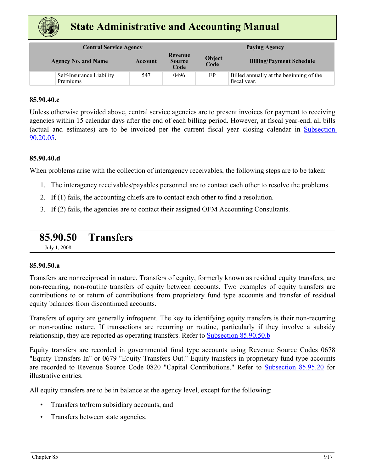<span id="page-43-0"></span>

|                                      | <b>Central Service Agency</b><br><b>Paying Agency</b> |                                  |                       |                                                         |
|--------------------------------------|-------------------------------------------------------|----------------------------------|-----------------------|---------------------------------------------------------|
| <b>Agency No. and Name</b>           | Account                                               | Revenue<br><b>Source</b><br>Code | <b>Object</b><br>Code | <b>Billing/Payment Schedule</b>                         |
| Self-Insurance Liability<br>Premiums | 547                                                   | 0496                             | EP                    | Billed annually at the beginning of the<br>fiscal year. |

### **85.90.40.c**

Unless otherwise provided above, central service agencies are to present invoices for payment to receiving agencies within 15 calendar days after the end of each billing period. However, at fiscal year-end, all bills (actual and estimates) are to be invoiced per the current fiscal year closing calendar in Subsection 90.20.05.

#### **85.90.40.d**

When problems arise with the collection of interagency receivables, the following steps are to be taken:

- 1. The interagency receivables/payables personnel are to contact each other to resolve the problems.
- 2. If (1) fails, the accounting chiefs are to contact each other to find a resolution.
- 3. If (2) fails, the agencies are to contact their assigned OFM Accounting Consultants.

### **85.90.50 Transfers**

July 1, 2008

#### **85.90.50.a**

Transfers are nonreciprocal in nature. Transfers of equity, formerly known as residual equity transfers, are non-recurring, non-routine transfers of equity between accounts. Two examples of equity transfers are contributions to or return of contributions from proprietary fund type accounts and transfer of residual equity balances from discontinued accounts.

Transfers of equity are generally infrequent. The key to identifying equity transfers is their non-recurring or non-routine nature. If transactions are recurring or routine, particularly if they involve a subsidy relationship, they are reported as operating transfers. Refer to [Subsection 85.90.50.b](#page-44-0)

Equity transfers are recorded in governmental fund type accounts using Revenue Source Codes 0678 "Equity Transfers In" or 0679 "Equity Transfers Out." Equity transfers in proprietary fund type accounts are recorded to Revenue Source Code 0820 "Capital Contributions." Refer to [Subsection 85.95.20](#page-49-0) for illustrative entries.

All equity transfers are to be in balance at the agency level, except for the following:

- Transfers to/from subsidiary accounts, and
- Transfers between state agencies.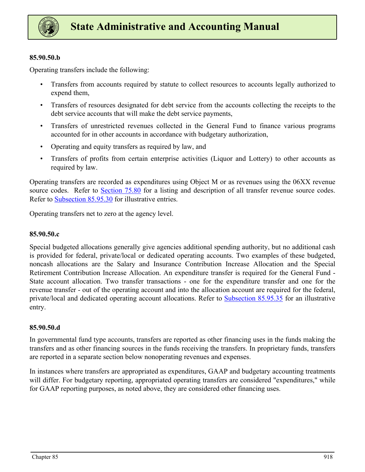<span id="page-44-0"></span>

### **85.90.50.b**

Operating transfers include the following:

- Transfers from accounts required by statute to collect resources to accounts legally authorized to expend them,
- Transfers of resources designated for debt service from the accounts collecting the receipts to the debt service accounts that will make the debt service payments,
- Transfers of unrestricted revenues collected in the General Fund to finance various programs accounted for in other accounts in accordance with budgetary authorization,
- Operating and equity transfers as required by law, and
- Transfers of profits from certain enterprise activities (Liquor and Lottery) to other accounts as required by law.

Operating transfers are recorded as expenditures using Object M or as revenues using the 06XX revenue source codes. Refer to Section 75.80 for a listing and description of all transfer revenue source codes. Refer to [Subsection 85.95.30](#page-50-0) for illustrative entries.

Operating transfers net to zero at the agency level.

### **85.90.50.c**

Special budgeted allocations generally give agencies additional spending authority, but no additional cash is provided for federal, private/local or dedicated operating accounts. Two examples of these budgeted, noncash allocations are the Salary and Insurance Contribution Increase Allocation and the Special Retirement Contribution Increase Allocation. An expenditure transfer is required for the General Fund - State account allocation. Two transfer transactions - one for the expenditure transfer and one for the revenue transfer - out of the operating account and into the allocation account are required for the federal, private/local and dedicated operating account allocations. Refer to [Subsection 85.95.35](#page-51-0) for an illustrative entry.

#### **85.90.50.d**

In governmental fund type accounts, transfers are reported as other financing uses in the funds making the transfers and as other financing sources in the funds receiving the transfers. In proprietary funds, transfers are reported in a separate section below nonoperating revenues and expenses.

In instances where transfers are appropriated as expenditures, GAAP and budgetary accounting treatments will differ. For budgetary reporting, appropriated operating transfers are considered "expenditures," while for GAAP reporting purposes, as noted above, they are considered other financing uses.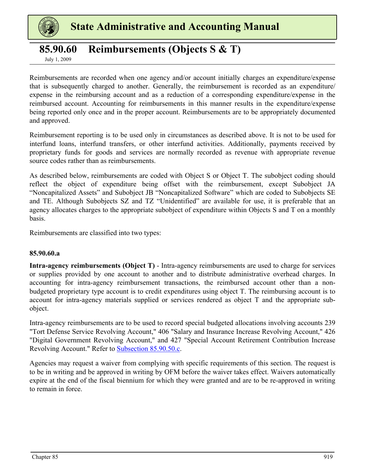<span id="page-45-0"></span>

### **85.90.60 Reimbursements (Objects S & T)**

July 1, 2009

Reimbursements are recorded when one agency and/or account initially charges an expenditure/expense that is subsequently charged to another. Generally, the reimbursement is recorded as an expenditure/ expense in the reimbursing account and as a reduction of a corresponding expenditure/expense in the reimbursed account. Accounting for reimbursements in this manner results in the expenditure/expense being reported only once and in the proper account. Reimbursements are to be appropriately documented and approved.

Reimbursement reporting is to be used only in circumstances as described above. It is not to be used for interfund loans, interfund transfers, or other interfund activities. Additionally, payments received by proprietary funds for goods and services are normally recorded as revenue with appropriate revenue source codes rather than as reimbursements.

As described below, reimbursements are coded with Object S or Object T. The subobject coding should reflect the object of expenditure being offset with the reimbursement, except Subobject JA "Noncapitalized Assets" and Subobject JB "Noncapitalized Software" which are coded to Subobjects SE and TE. Although Subobjects SZ and TZ "Unidentified" are available for use, it is preferable that an agency allocates charges to the appropriate subobject of expenditure within Objects S and T on a monthly basis.

Reimbursements are classified into two types:

### **85.90.60.a**

**Intra-agency reimbursements (Object T)** - Intra-agency reimbursements are used to charge for services or supplies provided by one account to another and to distribute administrative overhead charges. In accounting for intra-agency reimbursement transactions, the reimbursed account other than a nonbudgeted proprietary type account is to credit expenditures using object T. The reimbursing account is to account for intra-agency materials supplied or services rendered as object T and the appropriate subobject.

Intra-agency reimbursements are to be used to record special budgeted allocations involving accounts 239 "Tort Defense Service Revolving Account," 406 "Salary and Insurance Increase Revolving Account," 426 "Digital Government Revolving Account," and 427 "Special Account Retirement Contribution Increase Revolving Account." Refer to [Subsection 85.90.50.c.](#page-44-0)

Agencies may request a waiver from complying with specific requirements of this section. The request is to be in writing and be approved in writing by OFM before the waiver takes effect. Waivers automatically expire at the end of the fiscal biennium for which they were granted and are to be re-approved in writing to remain in force.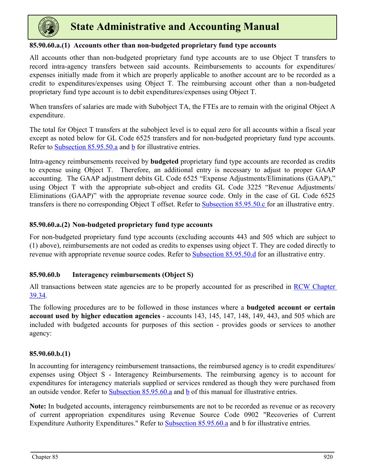<span id="page-46-0"></span>

### **85.90.60.a.(1) Accounts other than non-budgeted proprietary fund type accounts**

All accounts other than non-budgeted proprietary fund type accounts are to use Object T transfers to record intra-agency transfers between said accounts. Reimbursements to accounts for expenditures/ expenses initially made from it which are properly applicable to another account are to be recorded as a credit to expenditures/expenses using Object T. The reimbursing account other than a non-budgeted proprietary fund type account is to debit expenditures/expenses using Object T.

When transfers of salaries are made with Subobject TA, the FTEs are to remain with the original Object A expenditure.

The total for Object T transfers at the subobject level is to equal zero for all accounts within a fiscal year except as noted below for GL Code 6525 transfers and for non-budgeted proprietary fund type accounts. Refer to Subsection  $85.95.50.a$  and  $\overline{b}$  for illustrative entries.

Intra-agency reimbursements received by **budgeted** proprietary fund type accounts are recorded as credits to expense using Object T. Therefore, an additional entry is necessary to adjust to proper GAAP accounting. The GAAP adjustment debits GL Code 6525 "Expense Adjustments/Eliminations (GAAP)," using Object T with the appropriate sub-object and credits GL Code 3225 "Revenue Adjustments/ Eliminations (GAAP)" with the appropriate revenue source code. Only in the case of GL Code 6525 transfers is there no corresponding Object T offset. Refer to [Subsection 85.95.50.c f](#page-53-0)or an illustrative entry.

### **85.90.60.a.(2) Non-budgeted proprietary fund type accounts**

For non-budgeted proprietary fund type accounts (excluding accounts 443 and 505 which are subject to (1) above), reimbursements are not coded as credits to expenses using object T. They are coded directly to revenue with appropriate revenue source codes. Refer to [Subsection 85.95.50.d](#page-53-0) for an illustrative entry.

### **85.90.60.b Interagency reimbursements (Object S)**

All transactions between state agencies are to be properly accounted for as prescribed in **RCW Chapter** [39.34](https://apps.leg.wa.gov/RCW/default.aspx?cite=39.34).

The following procedures are to be followed in those instances where a **budgeted account or certain account used by higher education agencies** - accounts 143, 145, 147, 148, 149, 443, and 505 which are included with budgeted accounts for purposes of this section - provides goods or services to another agency:

### **85.90.60.b.(1)**

In accounting for interagency reimbursement transactions, the reimbursed agency is to credit expenditures/ expenses using Object S - Interagency Reimbursements. The reimbursing agency is to account for expenditures for interagency materials supplied or services rendered as though they were purchased from an outside vendor. Refer to [Subsection 85.95.60.a](#page-54-0) and [b](#page-54-0) of this manual for illustrative entries.

**Note:** In budgeted accounts, interagency reimbursements are not to be recorded as revenue or as recovery of current appropriation expenditures using Revenue Source Code 0902 "Recoveries of Current Expenditure Authority Expenditures." Refer to [Subsection 85.95.60.a](#page-45-0) and b for illustrative entries.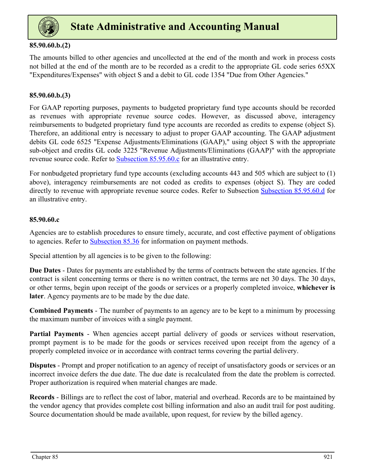<span id="page-47-0"></span>

### **85.90.60.b.(2)**

The amounts billed to other agencies and uncollected at the end of the month and work in process costs not billed at the end of the month are to be recorded as a credit to the appropriate GL code series 65XX "Expenditures/Expenses" with object S and a debit to GL code 1354 "Due from Other Agencies."

### **85.90.60.b.(3)**

For GAAP reporting purposes, payments to budgeted proprietary fund type accounts should be recorded as revenues with appropriate revenue source codes. However, as discussed above, interagency reimbursements to budgeted proprietary fund type accounts are recorded as credits to expense (object S). Therefore, an additional entry is necessary to adjust to proper GAAP accounting. The GAAP adjustment debits GL code 6525 "Expense Adjustments/Eliminations (GAAP)," using object S with the appropriate sub-object and credits GL code 3225 "Revenue Adjustments/Eliminations (GAAP)" with the appropriate revenue source code. Refer to **Subsection 85.95.60.c** for an illustrative entry.

For nonbudgeted proprietary fund type accounts (excluding accounts 443 and 505 which are subject to (1) above), interagency reimbursements are not coded as credits to expenses (object S). They are coded directly to revenue with appropriate revenue source codes. Refer to Subsection [Subsection 85.95.60.d](#page-54-0) for an illustrative entry.

### **85.90.60.c**

Agencies are to establish procedures to ensure timely, accurate, and cost effective payment of obligations to agencies. Refer to **Subsection 85.36** for information on payment methods.

Special attention by all agencies is to be given to the following:

**Due Dates** - Dates for payments are established by the terms of contracts between the state agencies. If the contract is silent concerning terms or there is no written contract, the terms are net 30 days. The 30 days, or other terms, begin upon receipt of the goods or services or a properly completed invoice, **whichever is later**. Agency payments are to be made by the due date.

**Combined Payments** - The number of payments to an agency are to be kept to a minimum by processing the maximum number of invoices with a single payment.

**Partial Payments** - When agencies accept partial delivery of goods or services without reservation, prompt payment is to be made for the goods or services received upon receipt from the agency of a properly completed invoice or in accordance with contract terms covering the partial delivery.

**Disputes** - Prompt and proper notification to an agency of receipt of unsatisfactory goods or services or an incorrect invoice defers the due date. The due date is recalculated from the date the problem is corrected. Proper authorization is required when material changes are made.

**Records** - Billings are to reflect the cost of labor, material and overhead. Records are to be maintained by the vendor agency that provides complete cost billing information and also an audit trail for post auditing. Source documentation should be made available, upon request, for review by the billed agency.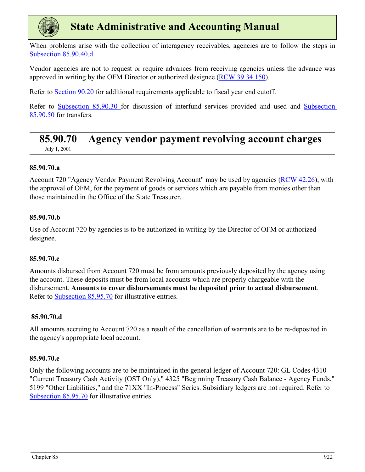<span id="page-48-0"></span>

When problems arise with the collection of interagency receivables, agencies are to follow the steps in [Subsection 85.90.40.d](#page-43-0).

Vendor agencies are not to request or require advances from receiving agencies unless the advance was approved in writing by the OFM Director or authorized designee [\(RCW 39.34.150\)](https://apps.leg.wa.gov/rCW/default.aspx?cite=39.34.150).

Refer to Section 90.20 for additional requirements applicable to fiscal year end cutoff.

Refer to [Subsection 85.90.30](#page-40-0) for discussion of interfund services provided and used and [Subsection](#page-43-0)  [85.90.50](#page-43-0) for transfers.

## **85.90.70 Agency vendor payment revolving account charges**

July 1, 2001

### **85.90.70.a**

Account 720 "Agency Vendor Payment Revolving Account" may be used by agencies [\(RCW 42.26](https://app.leg.wa.gov/rcw/default.aspx?cite=42.26)), with the approval of OFM, for the payment of goods or services which are payable from monies other than those maintained in the Office of the State Treasurer.

### **85.90.70.b**

Use of Account 720 by agencies is to be authorized in writing by the Director of OFM or authorized designee.

### **85.90.70.c**

Amounts disbursed from Account 720 must be from amounts previously deposited by the agency using the account. These deposits must be from local accounts which are properly chargeable with the disbursement. **Amounts to cover disbursements must be deposited prior to actual disbursement**. Refer to [Subsection 85.95.70](#page-55-0) for illustrative entries.

### **85.90.70.d**

All amounts accruing to Account 720 as a result of the cancellation of warrants are to be re-deposited in the agency's appropriate local account.

### **85.90.70.e**

Only the following accounts are to be maintained in the general ledger of Account 720: GL Codes 4310 "Current Treasury Cash Activity (OST Only)," 4325 "Beginning Treasury Cash Balance - Agency Funds," 5199 "Other Liabilities," and the 71XX "In-Process" Series. Subsidiary ledgers are not required. Refer to [Subsection 85.95.70](#page-55-0) for illustrative entries.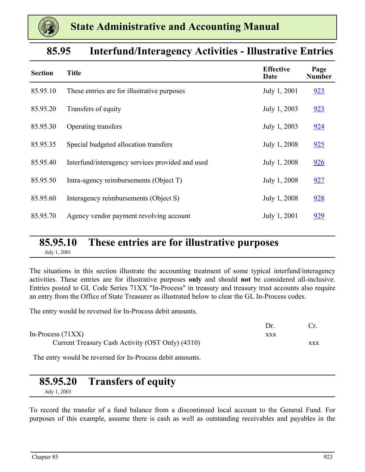<span id="page-49-0"></span>

| 85.95 | <b>Interfund/Interagency Activities - Illustrative Entries</b> |  |  |  |
|-------|----------------------------------------------------------------|--|--|--|
|-------|----------------------------------------------------------------|--|--|--|

| <b>Section</b> | <b>Title</b>                                     | <b>Effective</b><br>Date | Page<br><b>Number</b> |
|----------------|--------------------------------------------------|--------------------------|-----------------------|
| 85.95.10       | These entries are for illustrative purposes      | July 1, 2001             | 923                   |
| 85.95.20       | Transfers of equity                              | July 1, 2003             | 923                   |
| 85.95.30       | Operating transfers                              | July 1, 2003             | 924                   |
| 85.95.35       | Special budgeted allocation transfers            | July 1, 2008             | 925                   |
| 85.95.40       | Interfund/interagency services provided and used | July 1, 2008             | 926                   |
| 85.95.50       | Intra-agency reimbursements (Object T)           | July 1, 2008             | 927                   |
| 85.95.60       | Interagency reimbursements (Object S)            | July 1, 2008             | 928                   |
| 85.95.70       | Agency vendor payment revolving account          | July 1, 2001             | 929                   |

## **85.95.10 These entries are for illustrative purposes**

July 1, 2001

The situations in this section illustrate the accounting treatment of some typical interfund/interagency activities. These entries are for illustrative purposes **only** and should **not** be considered all-inclusive. Entries posted to GL Code Series 71XX "In-Process" in treasury and treasury trust accounts also require an entry from the Office of State Treasurer as illustrated below to clear the GL In-Process codes.

The entry would be reversed for In-Process debit amounts.

| Dr  |     |
|-----|-----|
| XXX |     |
|     | XXX |
|     |     |

The entry would be reversed for In-Process debit amounts.

### **85.95.20 Transfers of equity**

July 1, 2003

To record the transfer of a fund balance from a discontinued local account to the General Fund. For purposes of this example, assume there is cash as well as outstanding receivables and payables in the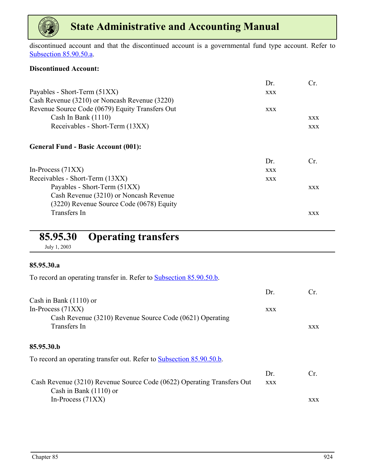<span id="page-50-0"></span>

discontinued account and that the discontinued account is a governmental fund type account. Refer to [Subsection 85.90.50.a](#page-43-0).

### **Discontinued Account:**

|                                                 | Dr.        | Cr.        |
|-------------------------------------------------|------------|------------|
| Payables - Short-Term (51XX)                    | <b>XXX</b> |            |
| Cash Revenue (3210) or Noncash Revenue (3220)   |            |            |
| Revenue Source Code (0679) Equity Transfers Out | <b>XXX</b> |            |
| Cash In Bank $(1110)$                           |            | <b>XXX</b> |
| Receivables - Short-Term (13XX)                 |            | <b>XXX</b> |
| <b>General Fund - Basic Account (001):</b>      |            |            |
|                                                 | Dr.        | Cr.        |
| In-Process $(71XX)$                             | <b>XXX</b> |            |
| Receivables - Short-Term (13XX)                 | <b>XXX</b> |            |
| Payables - Short-Term (51XX)                    |            | <b>XXX</b> |
| Cash Revenue (3210) or Noncash Revenue          |            |            |
| (3220) Revenue Source Code (0678) Equity        |            |            |
| Transfers In                                    |            | <b>XXX</b> |

### **85.95.30 Operating transfers**

July 1, 2003

### **85.95.30.a**

To record an operating transfer in. Refer to [Subsection 85.90.50.b.](#page-44-0)

|                                                                        | Dr.        | Cr.        |
|------------------------------------------------------------------------|------------|------------|
| Cash in Bank $(1110)$ or                                               |            |            |
| In-Process $(71XX)$                                                    | <b>XXX</b> |            |
| Cash Revenue (3210) Revenue Source Code (0621) Operating               |            |            |
| Transfers In                                                           |            | <b>XXX</b> |
| 85.95.30.b                                                             |            |            |
| To record an operating transfer out. Refer to Subsection 85.90.50.b.   |            |            |
|                                                                        | Dr.        | Cr.        |
| Cash Revenue (3210) Revenue Source Code (0622) Operating Transfers Out | <b>XXX</b> |            |
| Cash in Bank $(1110)$ or                                               |            |            |
| In-Process $(71XX)$                                                    |            | <b>XXX</b> |
|                                                                        |            |            |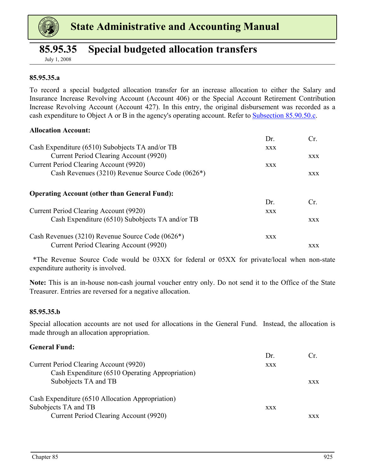<span id="page-51-0"></span>

### **85.95.35 Special budgeted allocation transfers**

July 1, 2008

### **85.95.35.a**

To record a special budgeted allocation transfer for an increase allocation to either the Salary and Insurance Increase Revolving Account (Account 406) or the Special Account Retirement Contribution Increase Revolving Account (Account 427). In this entry, the original disbursement was recorded as a cash expenditure to Object A or B in the agency's operating account. Refer to [Subsection 85.90.50.c.](#page-44-0)

#### **Allocation Account:**

|                                                               | Dr.        | Cr.        |
|---------------------------------------------------------------|------------|------------|
| Cash Expenditure (6510) Subobjects TA and/or TB               | <b>XXX</b> |            |
| Current Period Clearing Account (9920)                        |            | <b>XXX</b> |
| Current Period Clearing Account (9920)                        | <b>XXX</b> |            |
| Cash Revenues (3210) Revenue Source Code (0626*)              |            | <b>XXX</b> |
| <b>Operating Account (other than General Fund):</b>           |            |            |
|                                                               | Dr.        | Cr.        |
| Current Period Clearing Account (9920)                        | <b>XXX</b> |            |
| Cash Expenditure (6510) Subobjects TA and/or TB               |            | <b>XXX</b> |
| Cash Revenues (3210) Revenue Source Code (0626 <sup>*</sup> ) | XXX        |            |
| Current Period Clearing Account (9920)                        |            | <b>XXX</b> |

 \*The Revenue Source Code would be 03XX for federal or 05XX for private/local when non-state expenditure authority is involved.

**Note:** This is an in-house non-cash journal voucher entry only. Do not send it to the Office of the State Treasurer. Entries are reversed for a negative allocation.

#### **85.95.35.b**

Special allocation accounts are not used for allocations in the General Fund. Instead, the allocation is made through an allocation appropriation.

#### **General Fund:**

|                                                  | Dr.        |            |
|--------------------------------------------------|------------|------------|
| Current Period Clearing Account (9920)           | <b>XXX</b> |            |
| Cash Expenditure (6510 Operating Appropriation)  |            |            |
| Subobjects TA and TB                             |            | <b>XXX</b> |
| Cash Expenditure (6510 Allocation Appropriation) |            |            |
| Subobjects TA and TB                             | <b>XXX</b> |            |
| Current Period Clearing Account (9920)           |            | XXX        |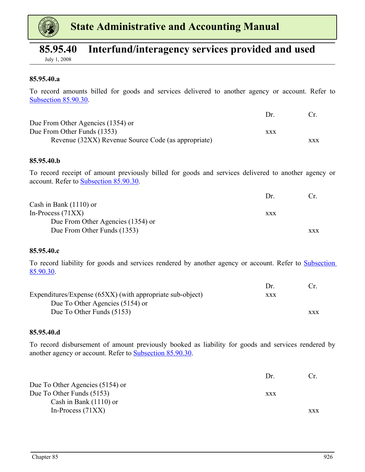<span id="page-52-0"></span>

### **85.95.40 Interfund/interagency services provided and used**

July 1, 2008

#### **85.95.40.a**

To record amounts billed for goods and services delivered to another agency or account. Refer to [Subsection 85.90.30](#page-40-0).

|                                                     | $1\,\mathrm{hr}$ |     |
|-----------------------------------------------------|------------------|-----|
| Due From Other Agencies (1354) or                   |                  |     |
| Due From Other Funds (1353)                         | XXX              |     |
| Revenue (32XX) Revenue Source Code (as appropriate) |                  | XXX |

#### **85.95.40.b**

To record receipt of amount previously billed for goods and services delivered to another agency or account. Refer to [Subsection 85.90.30](#page-40-0).

|                                   | $1$ r |            |
|-----------------------------------|-------|------------|
| Cash in Bank $(1110)$ or          |       |            |
| In-Process $(71XX)$               | XXX   |            |
| Due From Other Agencies (1354) or |       |            |
| Due From Other Funds (1353)       |       | <b>XXX</b> |

#### **85.95.40.c**

To record liability for goods and services rendered by another agency or account. Refer to [Subsection](#page-40-0)  [85.90.30.](#page-40-0)

|                                                           | Dr.        |            |
|-----------------------------------------------------------|------------|------------|
| Expenditures/Expense (65XX) (with appropriate sub-object) | <b>XXX</b> |            |
| Due To Other Agencies (5154) or                           |            |            |
| Due To Other Funds (5153)                                 |            | <b>XXX</b> |

#### **85.95.40.d**

To record disbursement of amount previously booked as liability for goods and services rendered by another agency or account. Refer to [Subsection 85.90.30](#page-40-0).

|                                 | $1$ r |            |
|---------------------------------|-------|------------|
| Due To Other Agencies (5154) or |       |            |
| Due To Other Funds (5153)       | XXX   |            |
| Cash in Bank $(1110)$ or        |       |            |
| In-Process $(71XX)$             |       | <b>XXX</b> |
|                                 |       |            |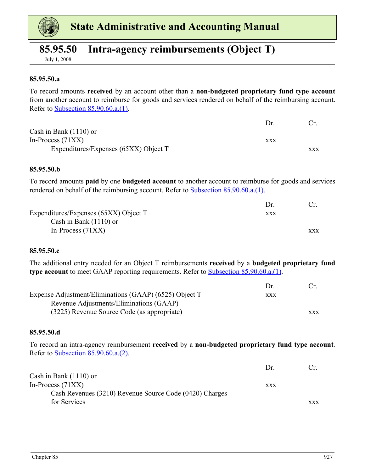<span id="page-53-0"></span>

### **85.95.50 Intra-agency reimbursements (Object T)**

July 1, 2008

#### **85.95.50.a**

To record amounts **received** by an account other than a **non-budgeted proprietary fund type account** from another account to reimburse for goods and services rendered on behalf of the reimbursing account. Refer to [Subsection 85.90.60.a.\(1\)](#page-46-0).

|                                       | Dr. |            |
|---------------------------------------|-----|------------|
| Cash in Bank $(1110)$ or              |     |            |
| In-Process $(71XX)$                   | XXX |            |
| Expenditures/Expenses (65XX) Object T |     | <b>XXX</b> |

#### **85.95.50.b**

To record amounts **paid** by one **budgeted account** to another account to reimburse for goods and services rendered on behalf of the reimbursing account. Refer to **Subsection 85.90.60.a.**(1).

|                                       | Dr. |            |
|---------------------------------------|-----|------------|
| Expenditures/Expenses (65XX) Object T | XXX |            |
| Cash in Bank $(1110)$ or              |     |            |
| In-Process $(71XX)$                   |     | <b>XXX</b> |

#### **85.95.50.c**

The additional entry needed for an Object T reimbursements **received** by a **budgeted proprietary fund type account** to meet GAAP reporting requirements. Refer to **Subsection 85.90.60.a.**(1).

|                                                        | $1$ r      |            |
|--------------------------------------------------------|------------|------------|
| Expense Adjustment/Eliminations (GAAP) (6525) Object T | <b>XXX</b> |            |
| Revenue Adjustments/Eliminations (GAAP)                |            |            |
| (3225) Revenue Source Code (as appropriate)            |            | <b>XXX</b> |

#### **85.95.50.d**

To record an intra-agency reimbursement **received** by a **non-budgeted proprietary fund type account**. Refer to [Subsection 85.90.60.a.\(2\)](#page-46-0).

|                                                         | $1$ r |            |
|---------------------------------------------------------|-------|------------|
| Cash in Bank $(1110)$ or                                |       |            |
| In-Process $(71XX)$                                     | XXX   |            |
| Cash Revenues (3210) Revenue Source Code (0420) Charges |       |            |
| for Services                                            |       | <b>XXX</b> |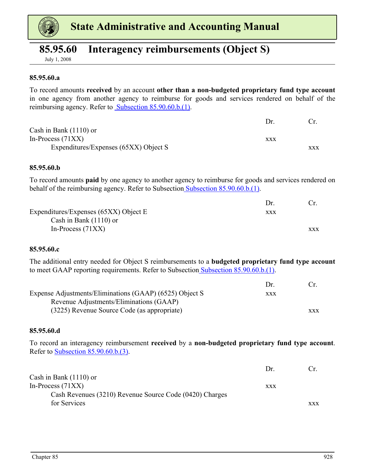<span id="page-54-0"></span>

### **85.95.60 Interagency reimbursements (Object S)**

July 1, 2008

#### **85.95.60.a**

To record amounts **received** by an account **other than a non-budgeted proprietary fund type account** in one agency from another agency to reimburse for goods and services rendered on behalf of the reimbursing agency. Refer to **Subsection 85.90.60.b.**(1).

|                                       | $1$ r |            |
|---------------------------------------|-------|------------|
| Cash in Bank $(1110)$ or              |       |            |
| In-Process $(71XX)$                   | XXX   |            |
| Expenditures/Expenses (65XX) Object S |       | <b>XXX</b> |

#### **85.95.60.b**

To record amounts **paid** by one agency to another agency to reimburse for goods and services rendered on behalf of the reimbursing agency. Refer to Subsection [Subsection 85.90.60.b.\(1\)](#page-46-0).

|                                       | Dr. |            |
|---------------------------------------|-----|------------|
| Expenditures/Expenses (65XX) Object E | XXX |            |
| Cash in Bank $(1110)$ or              |     |            |
| In-Process $(71XX)$                   |     | <b>XXX</b> |

#### **85.95.60.c**

The additional entry needed for Object S reimbursements to a **budgeted proprietary fund type account** to meet GAAP reporting requirements. Refer to Subsectio[n Subsection 85.90.60.b.\(1\).](#page-46-0)

|                                                         | $1$ r |            |
|---------------------------------------------------------|-------|------------|
| Expense Adjustments/Eliminations (GAAP) (6525) Object S | XXX   |            |
| Revenue Adjustments/Eliminations (GAAP)                 |       |            |
| (3225) Revenue Source Code (as appropriate)             |       | <b>XXX</b> |

#### **85.95.60.d**

To record an interagency reimbursement **received** by a **non-budgeted proprietary fund type account**. Refer to [Subsection 85.90.60.b.\(3\)](#page-47-0).

|                                                         | $1$ r | $\mathfrak{c}$ |
|---------------------------------------------------------|-------|----------------|
| Cash in Bank $(1110)$ or                                |       |                |
| In-Process $(71XX)$                                     | XXX   |                |
| Cash Revenues (3210) Revenue Source Code (0420) Charges |       |                |
| for Services                                            |       | <b>XXX</b>     |